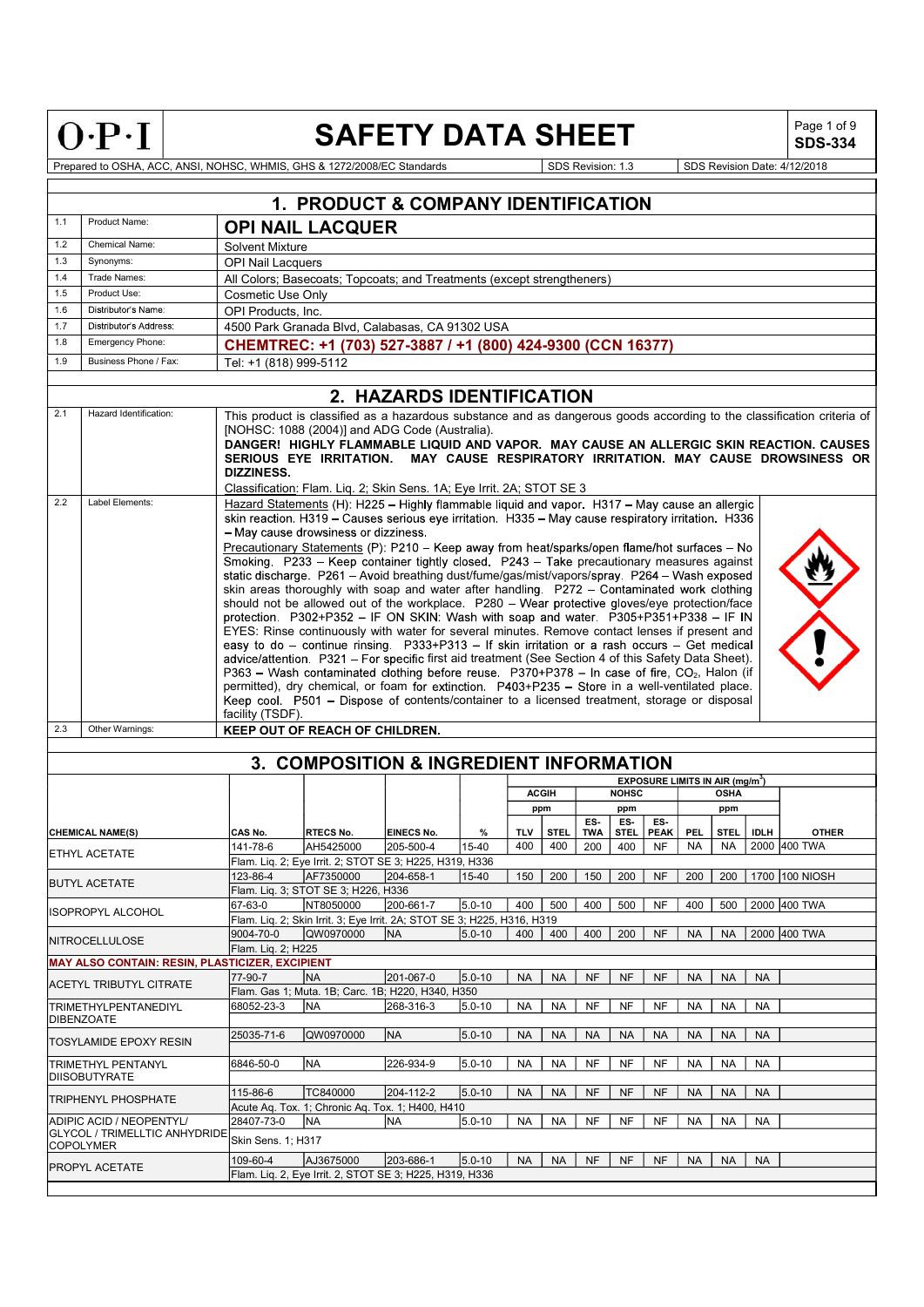| $\overline{a}$ | Ξ<br>c |  |
|----------------|--------|--|

# SAFETY DATA SHEET  $\left|\begin{array}{cc} \text{Page 1 of 9} \\ \text{SDS-334} \end{array}\right|$

SDS-334

|     |                                                           |                                  | 1. PRODUCT & COMPANY IDENTIFICATION                                                                                                                                                                                                                                                                                                                                                                                                                                                                                                                                                                                                                                                                                                                                                                                                                                                                                                                                                                                                                                                                                                                                                                                                                                                                                                                      |                           |            |            |              |            |              |                                             |            |             |             |                                                                   |  |
|-----|-----------------------------------------------------------|----------------------------------|----------------------------------------------------------------------------------------------------------------------------------------------------------------------------------------------------------------------------------------------------------------------------------------------------------------------------------------------------------------------------------------------------------------------------------------------------------------------------------------------------------------------------------------------------------------------------------------------------------------------------------------------------------------------------------------------------------------------------------------------------------------------------------------------------------------------------------------------------------------------------------------------------------------------------------------------------------------------------------------------------------------------------------------------------------------------------------------------------------------------------------------------------------------------------------------------------------------------------------------------------------------------------------------------------------------------------------------------------------|---------------------------|------------|------------|--------------|------------|--------------|---------------------------------------------|------------|-------------|-------------|-------------------------------------------------------------------|--|
| 1.1 | Product Name:                                             |                                  | <b>OPI NAIL LACQUER</b>                                                                                                                                                                                                                                                                                                                                                                                                                                                                                                                                                                                                                                                                                                                                                                                                                                                                                                                                                                                                                                                                                                                                                                                                                                                                                                                                  |                           |            |            |              |            |              |                                             |            |             |             |                                                                   |  |
| 1.2 | Chemical Name:                                            | <b>Solvent Mixture</b>           |                                                                                                                                                                                                                                                                                                                                                                                                                                                                                                                                                                                                                                                                                                                                                                                                                                                                                                                                                                                                                                                                                                                                                                                                                                                                                                                                                          |                           |            |            |              |            |              |                                             |            |             |             |                                                                   |  |
| 1.3 | Synonyms:                                                 | <b>OPI Nail Lacquers</b>         |                                                                                                                                                                                                                                                                                                                                                                                                                                                                                                                                                                                                                                                                                                                                                                                                                                                                                                                                                                                                                                                                                                                                                                                                                                                                                                                                                          |                           |            |            |              |            |              |                                             |            |             |             |                                                                   |  |
| 1.4 | Trade Names:                                              |                                  | All Colors: Basecoats: Topcoats: and Treatments (except strengtheners)                                                                                                                                                                                                                                                                                                                                                                                                                                                                                                                                                                                                                                                                                                                                                                                                                                                                                                                                                                                                                                                                                                                                                                                                                                                                                   |                           |            |            |              |            |              |                                             |            |             |             |                                                                   |  |
| 1.5 | Product Use:                                              | <b>Cosmetic Use Only</b>         |                                                                                                                                                                                                                                                                                                                                                                                                                                                                                                                                                                                                                                                                                                                                                                                                                                                                                                                                                                                                                                                                                                                                                                                                                                                                                                                                                          |                           |            |            |              |            |              |                                             |            |             |             |                                                                   |  |
| 1.6 | Distributor's Name:                                       | OPI Products, Inc.               |                                                                                                                                                                                                                                                                                                                                                                                                                                                                                                                                                                                                                                                                                                                                                                                                                                                                                                                                                                                                                                                                                                                                                                                                                                                                                                                                                          |                           |            |            |              |            |              |                                             |            |             |             |                                                                   |  |
| 17  | Distributor's Address                                     |                                  | 4500 Park Granada Blvd, Calabasas, CA 91302 USA                                                                                                                                                                                                                                                                                                                                                                                                                                                                                                                                                                                                                                                                                                                                                                                                                                                                                                                                                                                                                                                                                                                                                                                                                                                                                                          |                           |            |            |              |            |              |                                             |            |             |             |                                                                   |  |
| 1.8 | Emergency Phone:                                          |                                  | CHEMTREC: +1 (703) 527-3887 / +1 (800) 424-9300 (CCN 16377)                                                                                                                                                                                                                                                                                                                                                                                                                                                                                                                                                                                                                                                                                                                                                                                                                                                                                                                                                                                                                                                                                                                                                                                                                                                                                              |                           |            |            |              |            |              |                                             |            |             |             |                                                                   |  |
| 1.9 | Business Phone / Fax:                                     | Tel: +1 (818) 999-5112           |                                                                                                                                                                                                                                                                                                                                                                                                                                                                                                                                                                                                                                                                                                                                                                                                                                                                                                                                                                                                                                                                                                                                                                                                                                                                                                                                                          |                           |            |            |              |            |              |                                             |            |             |             |                                                                   |  |
|     |                                                           |                                  |                                                                                                                                                                                                                                                                                                                                                                                                                                                                                                                                                                                                                                                                                                                                                                                                                                                                                                                                                                                                                                                                                                                                                                                                                                                                                                                                                          |                           |            |            |              |            |              |                                             |            |             |             |                                                                   |  |
|     |                                                           |                                  |                                                                                                                                                                                                                                                                                                                                                                                                                                                                                                                                                                                                                                                                                                                                                                                                                                                                                                                                                                                                                                                                                                                                                                                                                                                                                                                                                          | 2. HAZARDS IDENTIFICATION |            |            |              |            |              |                                             |            |             |             |                                                                   |  |
| 2.1 | Hazard Identification:                                    | <b>DIZZINESS.</b>                | This product is classified as a hazardous substance and as dangerous goods according to the classification criteria of<br>[NOHSC: 1088 (2004)] and ADG Code (Australia).<br>DANGER! HIGHLY FLAMMABLE LIQUID AND VAPOR. MAY CAUSE AN ALLERGIC SKIN REACTION. CAUSES<br>SERIOUS EYE IRRITATION. MAY CAUSE RESPIRATORY IRRITATION. MAY CAUSE DROWSINESS OR<br>Classification: Flam. Liq. 2; Skin Sens. 1A; Eye Irrit. 2A; STOT SE 3                                                                                                                                                                                                                                                                                                                                                                                                                                                                                                                                                                                                                                                                                                                                                                                                                                                                                                                         |                           |            |            |              |            |              |                                             |            |             |             |                                                                   |  |
| 2.2 | Label Elements:                                           |                                  | Hazard Statements (H): H225 - Highly flammable liquid and vapor. H317 - May cause an allergic                                                                                                                                                                                                                                                                                                                                                                                                                                                                                                                                                                                                                                                                                                                                                                                                                                                                                                                                                                                                                                                                                                                                                                                                                                                            |                           |            |            |              |            |              |                                             |            |             |             |                                                                   |  |
|     |                                                           |                                  | skin reaction, H319 - Causes serious eye irritation. H335 - May cause respiratory irritation. H336<br>- May cause drowsiness or dizziness.<br>Precautionary Statements (P): P210 - Keep away from heat/sparks/open flame/hot surfaces - No<br>Smoking. P233 - Keep container tightly closed. P243 - Take precautionary measures against<br>static discharge. P261 - Avoid breathing dust/fume/gas/mist/vapors/spray. P264 - Wash exposed<br>skin areas thoroughly with soap and water after handling. P272 - Contaminated work clothing<br>should not be allowed out of the workplace. P280 - Wear protective gloves/eye protection/face<br>protection. P302+P352 - IF ON SKIN: Wash with soap and water. P305+P351+P338 - IF IN<br>EYES: Rinse continuously with water for several minutes. Remove contact lenses if present and<br>easy to do - continue rinsing. P333+P313 - If skin irritation or a rash occurs - Get medical<br>advice/attention. P321 - For specific first aid treatment (See Section 4 of this Safety Data Sheet).<br>P363 - Wash contaminated clothing before reuse. P370+P378 - In case of fire, CO <sub>2</sub> , Halon (if<br>permitted), dry chemical, or foam for extinction. P403+P235 - Store in a well-ventilated place.<br>Keep cool. P501 - Dispose of contents/container to a licensed treatment, storage or disposal |                           |            |            |              |            |              |                                             |            |             |             |                                                                   |  |
| 2.3 | Other Warnings:                                           | facility (TSDF).                 | KEEP OUT OF REACH OF CHILDREN.                                                                                                                                                                                                                                                                                                                                                                                                                                                                                                                                                                                                                                                                                                                                                                                                                                                                                                                                                                                                                                                                                                                                                                                                                                                                                                                           |                           |            |            |              |            |              |                                             |            |             |             |                                                                   |  |
|     |                                                           |                                  |                                                                                                                                                                                                                                                                                                                                                                                                                                                                                                                                                                                                                                                                                                                                                                                                                                                                                                                                                                                                                                                                                                                                                                                                                                                                                                                                                          |                           |            |            |              |            |              |                                             |            |             |             |                                                                   |  |
|     |                                                           |                                  | 3. COMPOSITION & INGREDIENT INFORMATION                                                                                                                                                                                                                                                                                                                                                                                                                                                                                                                                                                                                                                                                                                                                                                                                                                                                                                                                                                                                                                                                                                                                                                                                                                                                                                                  |                           |            |            |              |            |              |                                             |            |             |             |                                                                   |  |
|     |                                                           |                                  |                                                                                                                                                                                                                                                                                                                                                                                                                                                                                                                                                                                                                                                                                                                                                                                                                                                                                                                                                                                                                                                                                                                                                                                                                                                                                                                                                          |                           |            |            |              |            |              | EXPOSURE LIMITS IN AIR (mg/m <sup>3</sup> ) |            |             |             |                                                                   |  |
|     |                                                           |                                  |                                                                                                                                                                                                                                                                                                                                                                                                                                                                                                                                                                                                                                                                                                                                                                                                                                                                                                                                                                                                                                                                                                                                                                                                                                                                                                                                                          |                           |            |            | <b>ACGIH</b> |            | <b>NOHSC</b> |                                             |            | <b>OSHA</b> |             |                                                                   |  |
|     |                                                           |                                  |                                                                                                                                                                                                                                                                                                                                                                                                                                                                                                                                                                                                                                                                                                                                                                                                                                                                                                                                                                                                                                                                                                                                                                                                                                                                                                                                                          |                           |            |            | ppm          |            | ppm          |                                             |            | ppm         |             |                                                                   |  |
|     |                                                           |                                  |                                                                                                                                                                                                                                                                                                                                                                                                                                                                                                                                                                                                                                                                                                                                                                                                                                                                                                                                                                                                                                                                                                                                                                                                                                                                                                                                                          |                           |            |            |              | ES-        | ES-          | ES-                                         |            |             |             |                                                                   |  |
|     | <b>CHEMICAL NAME(S)</b>                                   | CAS No.                          | <b>RTECS No.</b>                                                                                                                                                                                                                                                                                                                                                                                                                                                                                                                                                                                                                                                                                                                                                                                                                                                                                                                                                                                                                                                                                                                                                                                                                                                                                                                                         | <b>EINECS No.</b>         | %          | <b>TLV</b> | <b>STEL</b>  | <b>TWA</b> | <b>STEL</b>  | <b>PEAK</b>                                 | <b>PEL</b> | <b>STEL</b> | <b>IDLH</b> | <b>OTHER</b>                                                      |  |
|     | ETHYL ACETATE                                             | 141-78-6                         | AH5425000                                                                                                                                                                                                                                                                                                                                                                                                                                                                                                                                                                                                                                                                                                                                                                                                                                                                                                                                                                                                                                                                                                                                                                                                                                                                                                                                                | 205-500-4                 | 15-40      | 400        | 400          | 200        | 400          | <b>NF</b>                                   | NA         | <b>NA</b>   |             | 2000 400 TWA                                                      |  |
|     |                                                           |                                  | Flam. Lig. 2; Eye Irrit. 2; STOT SE 3; H225, H319, H336                                                                                                                                                                                                                                                                                                                                                                                                                                                                                                                                                                                                                                                                                                                                                                                                                                                                                                                                                                                                                                                                                                                                                                                                                                                                                                  |                           |            |            |              |            |              |                                             |            |             |             | 15-40   150   200   150   200   NF   200   200   1700   100 NIOSH |  |
|     | <b>BUTYL ACETATE</b>                                      |                                  | 123-86-4   AF7350000   204-658-1<br>Flam. Liq. 3; STOT SE 3; H226, H336                                                                                                                                                                                                                                                                                                                                                                                                                                                                                                                                                                                                                                                                                                                                                                                                                                                                                                                                                                                                                                                                                                                                                                                                                                                                                  |                           |            |            |              |            |              |                                             |            |             |             |                                                                   |  |
|     |                                                           | 67-63-0                          | NT8050000                                                                                                                                                                                                                                                                                                                                                                                                                                                                                                                                                                                                                                                                                                                                                                                                                                                                                                                                                                                                                                                                                                                                                                                                                                                                                                                                                | 200-661-7                 | $5.0 - 10$ | 400        | 500          | 400        | 500          | <b>NF</b>                                   | 400        | 500         |             | 2000 400 TWA                                                      |  |
|     | IISOPROPYL ALCOHOL                                        |                                  | Flam. Liq. 2; Skin Irrit. 3; Eye Irrit. 2A; STOT SE 3; H225, H316, H319                                                                                                                                                                                                                                                                                                                                                                                                                                                                                                                                                                                                                                                                                                                                                                                                                                                                                                                                                                                                                                                                                                                                                                                                                                                                                  |                           |            |            |              |            |              |                                             |            |             |             |                                                                   |  |
|     |                                                           | 9004-70-0                        | QW0970000                                                                                                                                                                                                                                                                                                                                                                                                                                                                                                                                                                                                                                                                                                                                                                                                                                                                                                                                                                                                                                                                                                                                                                                                                                                                                                                                                | NA)                       | $5.0 - 10$ | 400        | 400          | 400        | 200          | <b>NF</b>                                   | <b>NA</b>  |             |             | NA 2000 400 TWA                                                   |  |
|     | NITROCELLULOSE                                            | Flam. Lig. 2; H225               |                                                                                                                                                                                                                                                                                                                                                                                                                                                                                                                                                                                                                                                                                                                                                                                                                                                                                                                                                                                                                                                                                                                                                                                                                                                                                                                                                          |                           |            |            |              |            |              |                                             |            |             |             |                                                                   |  |
|     | <b>MAY ALSO CONTAIN: RESIN, PLASTICIZER, EXCIPIENT</b>    |                                  |                                                                                                                                                                                                                                                                                                                                                                                                                                                                                                                                                                                                                                                                                                                                                                                                                                                                                                                                                                                                                                                                                                                                                                                                                                                                                                                                                          |                           |            |            |              |            |              |                                             |            |             |             |                                                                   |  |
|     |                                                           | 77-90-7                          | <b>NA</b>                                                                                                                                                                                                                                                                                                                                                                                                                                                                                                                                                                                                                                                                                                                                                                                                                                                                                                                                                                                                                                                                                                                                                                                                                                                                                                                                                | 201-067-0                 | $5.0 - 10$ | <b>NA</b>  | <b>NA</b>    | <b>NF</b>  | <b>NF</b>    | <b>NF</b>                                   | <b>NA</b>  | <b>NA</b>   | <b>NA</b>   |                                                                   |  |
|     | <b>ACETYL TRIBUTYL CITRATE</b>                            |                                  | Flam. Gas 1; Muta. 1B; Carc. 1B; H220, H340, H350                                                                                                                                                                                                                                                                                                                                                                                                                                                                                                                                                                                                                                                                                                                                                                                                                                                                                                                                                                                                                                                                                                                                                                                                                                                                                                        |                           |            |            |              |            |              |                                             |            |             |             |                                                                   |  |
|     | <b>TRIMETHYLPENTANEDIYL</b><br>DIBENZOATE                 | 68052-23-3                       | <b>NA</b>                                                                                                                                                                                                                                                                                                                                                                                                                                                                                                                                                                                                                                                                                                                                                                                                                                                                                                                                                                                                                                                                                                                                                                                                                                                                                                                                                | 268-316-3                 | $5.0 - 10$ | <b>NA</b>  | <b>NA</b>    | NF         | <b>NF</b>    | <b>NF</b>                                   | <b>NA</b>  | <b>NA</b>   | <b>NA</b>   |                                                                   |  |
|     | <b>TOSYLAMIDE EPOXY RESIN</b>                             | 25035-71-6                       | QW0970000                                                                                                                                                                                                                                                                                                                                                                                                                                                                                                                                                                                                                                                                                                                                                                                                                                                                                                                                                                                                                                                                                                                                                                                                                                                                                                                                                | <b>NA</b>                 | $5.0 - 10$ | <b>NA</b>  | <b>NA</b>    | <b>NA</b>  | <b>NA</b>    | <b>NA</b>                                   | <b>NA</b>  | <b>NA</b>   | <b>NA</b>   |                                                                   |  |
|     | TRIMETHYL PENTANYL<br>DIISOBUTYRATE                       | 6846-50-0                        | <b>NA</b>                                                                                                                                                                                                                                                                                                                                                                                                                                                                                                                                                                                                                                                                                                                                                                                                                                                                                                                                                                                                                                                                                                                                                                                                                                                                                                                                                | 226-934-9                 | $5.0 - 10$ | NA         | <b>NA</b>    | NF         | <b>NF</b>    | NF                                          | <b>NA</b>  | <b>NA</b>   | NA          |                                                                   |  |
|     |                                                           | 115-86-6                         | TC840000                                                                                                                                                                                                                                                                                                                                                                                                                                                                                                                                                                                                                                                                                                                                                                                                                                                                                                                                                                                                                                                                                                                                                                                                                                                                                                                                                 | 204-112-2                 | $5.0 - 10$ | <b>NA</b>  | <b>NA</b>    | <b>NF</b>  | <b>NF</b>    | <b>NF</b>                                   | <b>NA</b>  | <b>NA</b>   | <b>NA</b>   |                                                                   |  |
|     | <b>TRIPHENYL PHOSPHATE</b>                                |                                  | Acute Aq. Tox. 1; Chronic Aq. Tox. 1; H400, H410                                                                                                                                                                                                                                                                                                                                                                                                                                                                                                                                                                                                                                                                                                                                                                                                                                                                                                                                                                                                                                                                                                                                                                                                                                                                                                         |                           |            |            |              |            |              |                                             |            |             |             |                                                                   |  |
|     | ADIPIC ACID / NEOPENTYL/<br>GLYCOL / TRIMELLTIC ANHYDRIDE | 28407-73-0<br>Skin Sens. 1; H317 | <b>NA</b>                                                                                                                                                                                                                                                                                                                                                                                                                                                                                                                                                                                                                                                                                                                                                                                                                                                                                                                                                                                                                                                                                                                                                                                                                                                                                                                                                | <b>NA</b>                 | $5.0 - 10$ | NA         | <b>NA</b>    | <b>NF</b>  | <b>NF</b>    | <b>NF</b>                                   | NA         | <b>NA</b>   | <b>NA</b>   |                                                                   |  |
|     | <b>COPOLYMER</b>                                          |                                  |                                                                                                                                                                                                                                                                                                                                                                                                                                                                                                                                                                                                                                                                                                                                                                                                                                                                                                                                                                                                                                                                                                                                                                                                                                                                                                                                                          |                           |            |            |              |            |              |                                             |            |             |             |                                                                   |  |
|     | <b>PROPYL ACETATE</b>                                     | 109-60-4                         | AJ3675000<br>Flam. Liq. 2, Eye Irrit. 2, STOT SE 3; H225, H319, H336                                                                                                                                                                                                                                                                                                                                                                                                                                                                                                                                                                                                                                                                                                                                                                                                                                                                                                                                                                                                                                                                                                                                                                                                                                                                                     | 203-686-1                 | $5.0 - 10$ | <b>NA</b>  | <b>NA</b>    | <b>NF</b>  | <b>NF</b>    | <b>NF</b>                                   | <b>NA</b>  | <b>NA</b>   | <b>NA</b>   |                                                                   |  |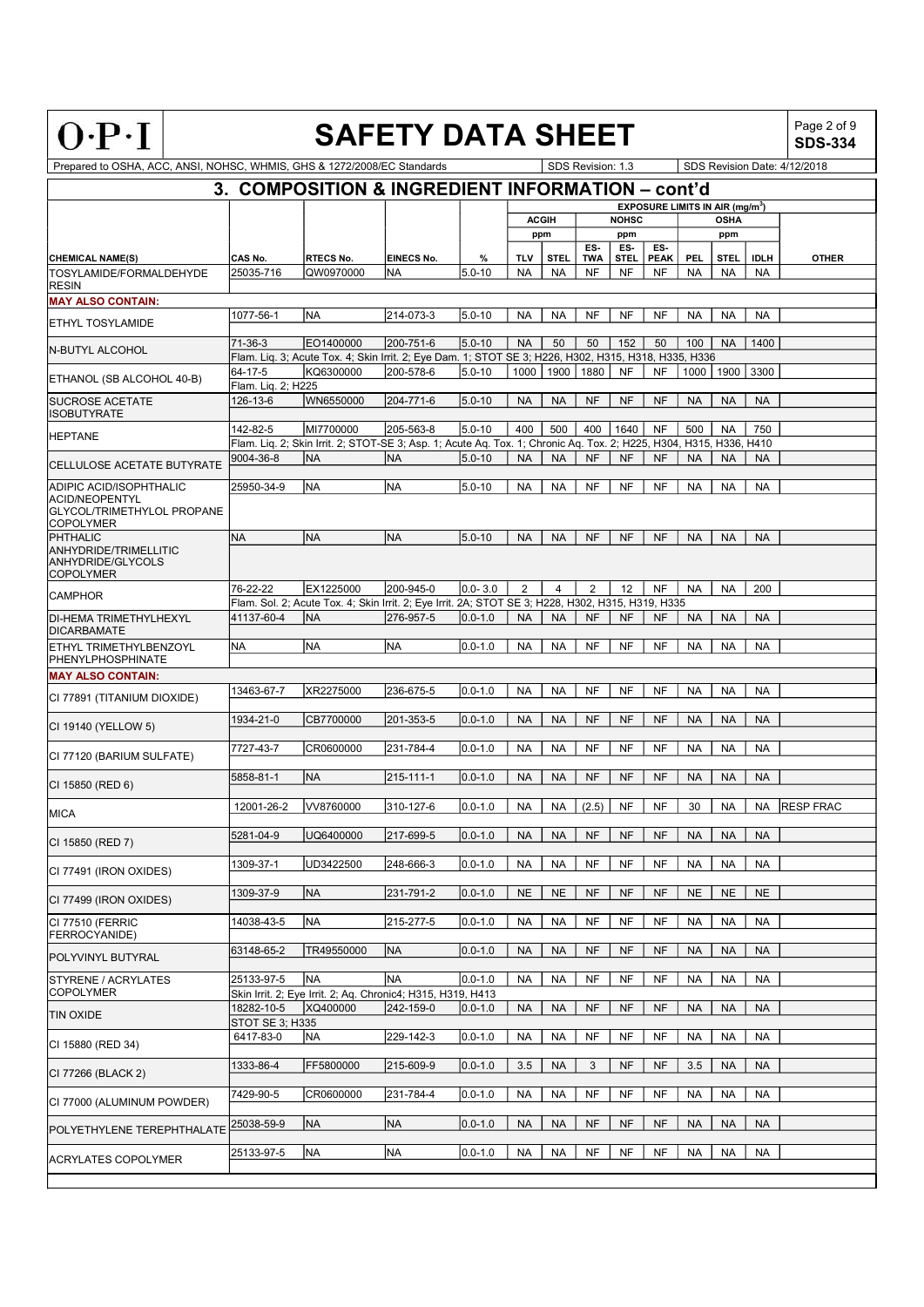| c<br>-<br>í | Ξ<br>٦<br>٠ | Ξ |
|-------------|-------------|---|

# **SAFETY DATA SHEET**

Page 2 of 9<br>**SDS-334** 

| Prepared to OSHA, ACC, ANSI, NOHSC, WHMIS, GHS & 1272/2008/EC Standards |                    |                                                                                                                    |            |             |                |              | SDS Revision: 1.3 |              |                                             |           |                |             | SDS Revision Date: 4/12/2018 |
|-------------------------------------------------------------------------|--------------------|--------------------------------------------------------------------------------------------------------------------|------------|-------------|----------------|--------------|-------------------|--------------|---------------------------------------------|-----------|----------------|-------------|------------------------------|
|                                                                         |                    | 3. COMPOSITION & INGREDIENT INFORMATION - cont'd                                                                   |            |             |                |              |                   |              |                                             |           |                |             |                              |
|                                                                         |                    |                                                                                                                    |            |             |                |              |                   |              | EXPOSURE LIMITS IN AIR (mg/m <sup>3</sup> ) |           |                |             |                              |
|                                                                         |                    |                                                                                                                    |            |             |                | <b>ACGIH</b> |                   | <b>NOHSC</b> |                                             |           | <b>OSHA</b>    |             |                              |
|                                                                         |                    |                                                                                                                    |            |             |                | ppm          |                   | ppm          |                                             |           | ppm            |             |                              |
|                                                                         |                    |                                                                                                                    |            |             |                |              | ES-               | ES-          | ES-                                         |           |                |             |                              |
| <b>CHEMICAL NAME(S)</b>                                                 | CAS No.            | <b>RTECS No.</b>                                                                                                   | EINECS No. | %           | <b>TLV</b>     | <b>STEL</b>  | <b>TWA</b>        | <b>STEL</b>  | <b>PEAK</b>                                 | PEL       | <b>STEL</b>    | <b>IDLH</b> | <b>OTHER</b>                 |
| TOSYLAMIDE/FORMALDEHYDE<br><b>RESIN</b>                                 | 25035-716          | QW0970000                                                                                                          | <b>NA</b>  | $5.0 - 10$  | <b>NA</b>      | <b>NA</b>    | <b>NF</b>         | <b>NF</b>    | <b>NF</b>                                   | <b>NA</b> | <b>NA</b>      | <b>NA</b>   |                              |
| <b>MAY ALSO CONTAIN:</b>                                                |                    |                                                                                                                    |            |             |                |              |                   |              |                                             |           |                |             |                              |
|                                                                         | 1077-56-1          | NA)                                                                                                                | 214-073-3  | $5.0 - 10$  | <b>NA</b>      | <b>NA</b>    | <b>NF</b>         | <b>NF</b>    | <b>NF</b>                                   | <b>NA</b> | <b>NA</b>      | <b>NA</b>   |                              |
| <b>ETHYL TOSYLAMIDE</b>                                                 |                    |                                                                                                                    |            |             |                |              |                   |              |                                             |           |                |             |                              |
|                                                                         | 71-36-3            | EO1400000                                                                                                          | 200-751-6  | $5.0 - 10$  | <b>NA</b>      | 50           | 50                | 152          | 50                                          | 100       | <b>NA</b>      | 1400        |                              |
| N-BUTYL ALCOHOL                                                         |                    | Flam. Liq. 3; Acute Tox. 4; Skin Irrit. 2; Eye Dam. 1; STOT SE 3; H226, H302, H315, H318, H335, H336               |            |             |                |              |                   |              |                                             |           |                |             |                              |
| ETHANOL (SB ALCOHOL 40-B)                                               | 64-17-5            | KQ6300000                                                                                                          | 200-578-6  | $5.0 - 10$  | 1000           | 1900         | 1880              | <b>NF</b>    | <b>NF</b>                                   |           | 1000 1900 3300 |             |                              |
|                                                                         | Flam. Liq. 2; H225 |                                                                                                                    |            |             |                |              |                   |              |                                             |           |                |             |                              |
| <b>SUCROSE ACETATE</b>                                                  | 126-13-6           | WN6550000                                                                                                          | 204-771-6  | $5.0 - 10$  | <b>NA</b>      | <b>NA</b>    | <b>NF</b>         | <b>NF</b>    | <b>NF</b>                                   | <b>NA</b> | <b>NA</b>      | <b>NA</b>   |                              |
| <b>ISOBUTYRATE</b>                                                      |                    |                                                                                                                    |            |             |                |              |                   |              |                                             |           |                |             |                              |
| <b>HEPTANE</b>                                                          | 142-82-5           | MI7700000                                                                                                          | 205-563-8  | $5.0 - 10$  | 400            | 500          | 400               | 1640         | <b>NF</b>                                   | 500       | <b>NA</b>      | 750         |                              |
|                                                                         |                    | Flam. Lig. 2; Skin Irrit. 2; STOT-SE 3; Asp. 1; Acute Ag. Tox. 1; Chronic Ag. Tox. 2; H225, H304, H315, H336, H410 |            |             |                |              |                   |              |                                             |           |                |             |                              |
| <b>CELLULOSE ACETATE BUTYRATE</b>                                       | 9004-36-8          | NA                                                                                                                 | <b>NA</b>  | $5.0 - 10$  | <b>NA</b>      | <b>NA</b>    | <b>NF</b>         | <b>NF</b>    | <b>NF</b>                                   | <b>NA</b> | <b>NA</b>      | <b>NA</b>   |                              |
|                                                                         |                    |                                                                                                                    |            |             |                |              |                   |              |                                             |           |                |             |                              |
| ADIPIC ACID/ISOPHTHALIC<br><b>ACID/NEOPENTYL</b>                        | 25950-34-9         | NA                                                                                                                 | <b>NA</b>  | $5.0 - 10$  | <b>NA</b>      | <b>NA</b>    | NF                | <b>NF</b>    | NF                                          | <b>NA</b> | <b>NA</b>      | <b>NA</b>   |                              |
| <b>GLYCOL/TRIMETHYLOL PROPANE</b>                                       |                    |                                                                                                                    |            |             |                |              |                   |              |                                             |           |                |             |                              |
| <b>COPOLYMER</b>                                                        |                    |                                                                                                                    |            |             |                |              |                   |              |                                             |           |                |             |                              |
| PHTHALIC                                                                | NA                 | NA)                                                                                                                | <b>NA</b>  | $5.0 - 10$  | <b>NA</b>      | <b>NA</b>    | <b>NF</b>         | <b>NF</b>    | <b>NF</b>                                   | <b>NA</b> | <b>NA</b>      | <b>NA</b>   |                              |
| <b>ANHYDRIDE/TRIMELLITIC</b>                                            |                    |                                                                                                                    |            |             |                |              |                   |              |                                             |           |                |             |                              |
| <b>ANHYDRIDE/GLYCOLS</b><br><b>COPOLYMER</b>                            |                    |                                                                                                                    |            |             |                |              |                   |              |                                             |           |                |             |                              |
|                                                                         | 76-22-22           | EX1225000                                                                                                          | 200-945-0  | $0.0 - 3.0$ | $\overline{2}$ | 4            | 2                 | 12           | <b>NF</b>                                   | <b>NA</b> | <b>NA</b>      | 200         |                              |
| <b>CAMPHOR</b>                                                          |                    | Flam. Sol. 2; Acute Tox. 4; Skin Irrit. 2; Eye Irrit. 2A; STOT SE 3; H228, H302, H315, H319, H335                  |            |             |                |              |                   |              |                                             |           |                |             |                              |
| DI-HEMA TRIMETHYLHEXYL                                                  | 41137-60-4         | lna                                                                                                                | 276-957-5  | $0.0 - 1.0$ | <b>NA</b>      | <b>NA</b>    | <b>NF</b>         | <b>NF</b>    | <b>NF</b>                                   | <b>NA</b> | <b>NA</b>      | <b>NA</b>   |                              |
| <b>DICARBAMATE</b>                                                      |                    |                                                                                                                    |            |             |                |              |                   |              |                                             |           |                |             |                              |
| ETHYL TRIMETHYLBENZOYL                                                  | ΝA                 | NA                                                                                                                 | NA         | $0.0 - 1.0$ | <b>NA</b>      | <b>NA</b>    | <b>NF</b>         | <b>NF</b>    | <b>NF</b>                                   | <b>NA</b> | <b>NA</b>      | <b>NA</b>   |                              |
| PHENYLPHOSPHINATE                                                       |                    |                                                                                                                    |            |             |                |              |                   |              |                                             |           |                |             |                              |
| <b>MAY ALSO CONTAIN:</b>                                                |                    |                                                                                                                    |            |             |                |              |                   |              |                                             |           |                |             |                              |
|                                                                         | 13463-67-7         | XR2275000                                                                                                          | 236-675-5  | $0.0 - 1.0$ | <b>NA</b>      | <b>NA</b>    | <b>NF</b>         | <b>NF</b>    | <b>NF</b>                                   | <b>NA</b> | <b>NA</b>      | <b>NA</b>   |                              |
| CI 77891 (TITANIUM DIOXIDE)                                             |                    |                                                                                                                    |            |             |                |              |                   |              |                                             |           |                |             |                              |
| CI 19140 (YELLOW 5)                                                     | 1934-21-0          | CB7700000                                                                                                          | 201-353-5  | $0.0 - 1.0$ | <b>NA</b>      | <b>NA</b>    | <b>NF</b>         | <b>NF</b>    | <b>NF</b>                                   | <b>NA</b> | <b>NA</b>      | <b>NA</b>   |                              |
|                                                                         |                    |                                                                                                                    |            |             |                |              |                   |              |                                             |           |                |             |                              |
| CI 77120 (BARIUM SULFATE)                                               | 7727-43-7          | CR0600000                                                                                                          | 231-784-4  | $0.0 - 1.0$ | <b>NA</b>      | <b>NA</b>    | <b>NF</b>         | <b>NF</b>    | NF                                          | <b>NA</b> | <b>NA</b>      | <b>NA</b>   |                              |
|                                                                         |                    |                                                                                                                    |            |             |                |              |                   |              |                                             |           |                |             |                              |
| CI 15850 (RED 6)                                                        | 5858-81-1          | <b>INA</b>                                                                                                         | 215-111-1  | $0.0 - 1.0$ | <b>NA</b>      | <b>NA</b>    | <b>NF</b>         | <b>NF</b>    | <b>NF</b>                                   | <b>NA</b> | <b>NA</b>      | <b>NA</b>   |                              |
|                                                                         |                    |                                                                                                                    |            |             |                |              |                   |              |                                             |           |                |             |                              |
| MICA                                                                    | 12001-26-2         | VV8760000                                                                                                          | 310-127-6  | $0.0 - 1.0$ | <b>NA</b>      | <b>NA</b>    | (2.5)             | <b>NF</b>    | <b>NF</b>                                   | 30        | <b>NA</b>      | <b>NA</b>   | <b>RESP FRAC</b>             |
|                                                                         |                    |                                                                                                                    |            |             |                |              |                   |              |                                             |           |                |             |                              |
| CI 15850 (RED 7)                                                        | 5281-04-9          | UQ6400000                                                                                                          | 217-699-5  | $0.0 - 1.0$ | <b>NA</b>      | <b>NA</b>    | <b>NF</b>         | <b>NF</b>    | <b>NF</b>                                   | <b>NA</b> | <b>NA</b>      | <b>NA</b>   |                              |
|                                                                         |                    |                                                                                                                    |            |             |                |              |                   |              |                                             |           |                |             |                              |
| CI 77491 (IRON OXIDES)                                                  | 1309-37-1          | UD3422500                                                                                                          | 248-666-3  | $0.0 - 1.0$ |                | NA   NA      | NF                | NF           | NF                                          | NA        | Na             | NA.         |                              |
|                                                                         | 1309-37-9          | NA)                                                                                                                | 231-791-2  | $0.0 - 1.0$ | <b>NE</b>      | <b>NE</b>    | <b>NF</b>         | $\sf{NF}$    | <b>NF</b>                                   | <b>NE</b> | <b>NE</b>      | <b>NE</b>   |                              |
| CI 77499 (IRON OXIDES)                                                  |                    |                                                                                                                    |            |             |                |              |                   |              |                                             |           |                |             |                              |
| CI 77510 (FERRIC                                                        | 14038-43-5         | NA)                                                                                                                | 215-277-5  | $0.0 - 1.0$ | <b>NA</b>      | <b>NA</b>    | <b>NF</b>         | <b>NF</b>    | NF                                          | <b>NA</b> | <b>NA</b>      | <b>NA</b>   |                              |
| FERROCYANIDE)                                                           |                    |                                                                                                                    |            |             |                |              |                   |              |                                             |           |                |             |                              |
|                                                                         | 63148-65-2         | TR49550000                                                                                                         | NA.        | $0.0 - 1.0$ | <b>NA</b>      | <b>NA</b>    | <b>NF</b>         | <b>NF</b>    | <b>NF</b>                                   | <b>NA</b> | <b>NA</b>      | <b>NA</b>   |                              |
| POLYVINYL BUTYRAL                                                       |                    |                                                                                                                    |            |             |                |              |                   |              |                                             |           |                |             |                              |
| STYRENE / ACRYLATES                                                     | 25133-97-5         | <b>NA</b>                                                                                                          | NA)        | $0.0 - 1.0$ | <b>NA</b>      | <b>NA</b>    | <b>NF</b>         | <b>NF</b>    | NF                                          | <b>NA</b> | <b>NA</b>      | <b>NA</b>   |                              |
| <b>COPOLYMER</b>                                                        |                    | Skin Irrit. 2; Eye Irrit. 2; Aq. Chronic4; H315, H319, H413                                                        |            |             |                |              |                   |              |                                             |           |                |             |                              |
|                                                                         | 18282-10-5         | XQ400000                                                                                                           | 242-159-0  | $0.0 - 1.0$ | <b>NA</b>      | <b>NA</b>    | <b>NF</b>         | <b>NF</b>    | <b>NF</b>                                   | <b>NA</b> | <b>NA</b>      | <b>NA</b>   |                              |
| <b>TIN OXIDE</b>                                                        | STOT SE 3; H335    |                                                                                                                    |            |             |                |              |                   |              |                                             |           |                |             |                              |
|                                                                         | 6417-83-0          | NA                                                                                                                 | 229-142-3  | $0.0 - 1.0$ | <b>NA</b>      | <b>NA</b>    | <b>NF</b>         | <b>NF</b>    | NF                                          | <b>NA</b> | <b>NA</b>      | <b>NA</b>   |                              |
| CI 15880 (RED 34)                                                       |                    |                                                                                                                    |            |             |                |              |                   |              |                                             |           |                |             |                              |
|                                                                         | 1333-86-4          | FF5800000                                                                                                          | 215-609-9  | $0.0 - 1.0$ | 3.5            | <b>NA</b>    | 3                 | <b>NF</b>    | <b>NF</b>                                   | 3.5       | <b>NA</b>      | <b>NA</b>   |                              |
| CI 77266 (BLACK 2)                                                      |                    |                                                                                                                    |            |             |                |              |                   |              |                                             |           |                |             |                              |
| CI 77000 (ALUMINUM POWDER)                                              | 7429-90-5          | CR0600000                                                                                                          | 231-784-4  | $0.0 - 1.0$ | <b>NA</b>      | <b>NA</b>    | <b>NF</b>         | <b>NF</b>    | <b>NF</b>                                   | <b>NA</b> | <b>NA</b>      | <b>NA</b>   |                              |
|                                                                         |                    |                                                                                                                    |            |             |                |              |                   |              |                                             |           |                |             |                              |
| POLYETHYLENE TEREPHTHALATE                                              | 25038-59-9         | NA)                                                                                                                | NA         | $0.0 - 1.0$ | <b>NA</b>      | <b>NA</b>    | <b>NF</b>         | $\sf{NF}$    | <b>NF</b>                                   | <b>NA</b> | <b>NA</b>      | <b>NA</b>   |                              |
|                                                                         |                    |                                                                                                                    |            |             |                |              |                   |              |                                             |           |                |             |                              |
| <b>ACRYLATES COPOLYMER</b>                                              | 25133-97-5         | NA                                                                                                                 | NA)        | $0.0 - 1.0$ | <b>NA</b>      | <b>NA</b>    | <b>NF</b>         | <b>NF</b>    | NF                                          | <b>NA</b> | <b>NA</b>      | <b>NA</b>   |                              |
|                                                                         |                    |                                                                                                                    |            |             |                |              |                   |              |                                             |           |                |             |                              |
|                                                                         |                    |                                                                                                                    |            |             |                |              |                   |              |                                             |           |                |             |                              |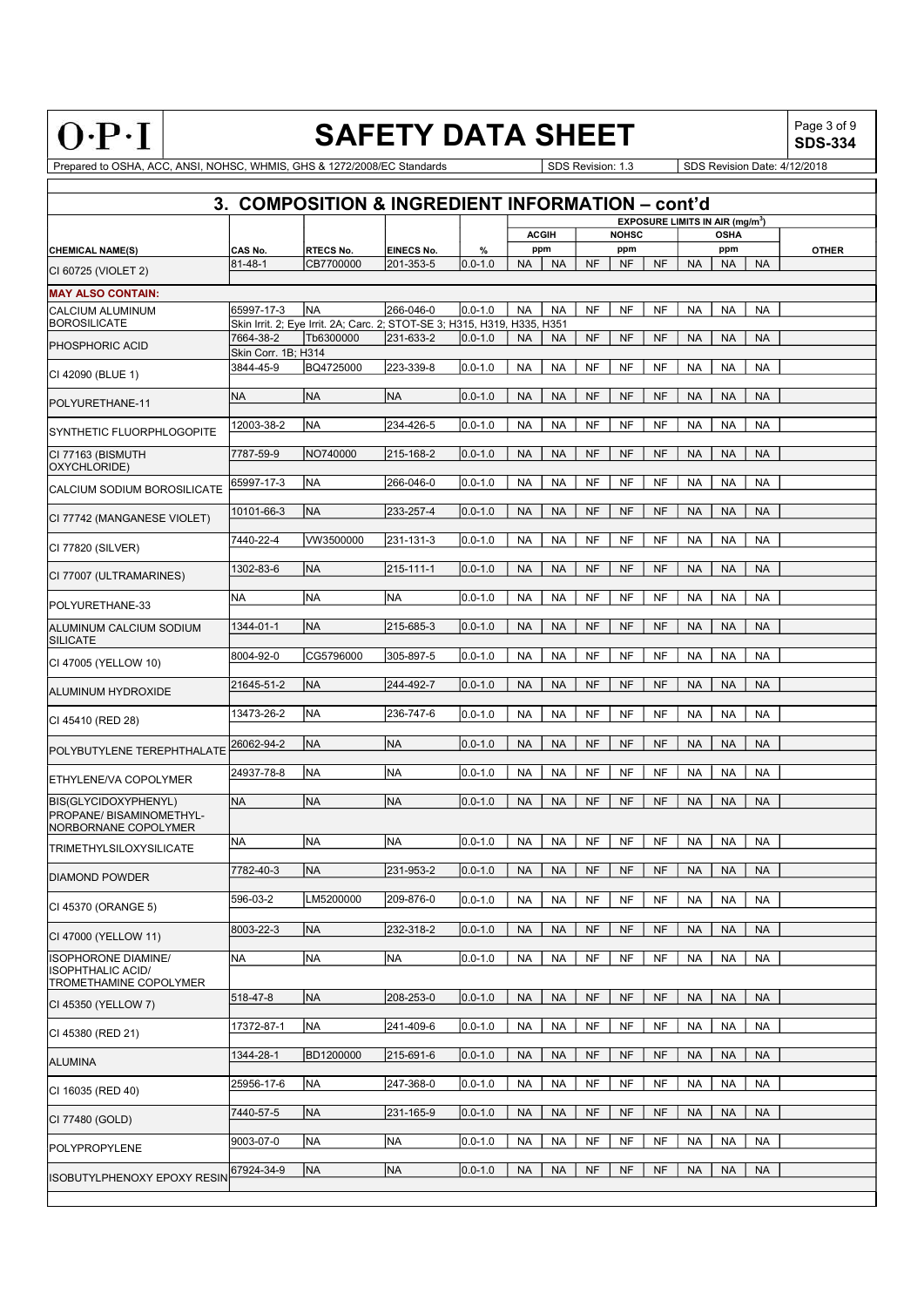| c<br>-<br>v<br>i, | =<br>۷<br>٠<br>τ<br>c | Ξ<br>٠ |  |
|-------------------|-----------------------|--------|--|

# SAFETY DATA SHEET  $\left|\begin{array}{cc} \text{Page 3 of 9} \\ \text{SDS-334} \end{array}\right|$

SDS-334

|                                                    |                                                  |                                                                          |            |             |                        | 3. COMPOSITION & INGREDIENT INFORMATION - cont'd |                                                                 |              |
|----------------------------------------------------|--------------------------------------------------|--------------------------------------------------------------------------|------------|-------------|------------------------|--------------------------------------------------|-----------------------------------------------------------------|--------------|
|                                                    |                                                  |                                                                          |            |             | <b>ACGIH</b>           | <b>NOHSC</b>                                     | <b>EXPOSURE LIMITS IN AIR (mg/m<sup>3</sup>)</b><br><b>OSHA</b> |              |
| <b>CHEMICAL NAME(S)</b>                            | CAS No.                                          | <b>RTECS No.</b>                                                         | EINECS No. | %           | ppm                    | ppm                                              | ppm                                                             | <b>OTHER</b> |
| CI 60725 (VIOLET 2)                                | $81 - 48 - 1$                                    | CB7700000                                                                | 201-353-5  | $0.0 - 1.0$ | <b>NA</b><br><b>NA</b> | <b>NF</b><br><b>NF</b><br><b>NF</b>              | <b>NA</b><br><b>NA</b><br><b>NA</b>                             |              |
|                                                    |                                                  |                                                                          |            |             |                        |                                                  |                                                                 |              |
| <b>MAY ALSO CONTAIN:</b><br>CALCIUM ALUMINUM       | 65997-17-3                                       | <b>NA</b>                                                                | 266-046-0  | $0.0 - 1.0$ | <b>NA</b><br><b>NA</b> | <b>NF</b><br><b>NF</b><br><b>NF</b>              | <b>NA</b><br><b>NA</b><br><b>NA</b>                             |              |
| <b>BOROSILICATE</b>                                |                                                  | Skin Irrit. 2; Eye Irrit. 2A; Carc. 2; STOT-SE 3; H315, H319, H335, H351 |            |             |                        |                                                  |                                                                 |              |
| <b>PHOSPHORIC ACID</b>                             | 7664-38-2                                        | Tb6300000                                                                | 231-633-2  | $0.0 - 1.0$ | <b>NA</b><br><b>NA</b> | <b>NF</b><br><b>NF</b><br><b>NF</b>              | <b>NA</b><br><b>NA</b><br><b>NA</b>                             |              |
|                                                    | Skin Corr. 1B; H314                              |                                                                          |            |             |                        |                                                  |                                                                 |              |
| CI 42090 (BLUE 1)                                  | 3844-45-9                                        | BQ4725000                                                                | 223-339-8  | $0.0 - 1.0$ | <b>NA</b><br><b>NA</b> | <b>NF</b><br><b>NF</b><br><b>NF</b>              | <b>NA</b><br><b>NA</b><br><b>NA</b>                             |              |
| POLYURETHANE-11                                    | <b>NA</b>                                        | <b>NA</b>                                                                | NA         | $0.0 - 1.0$ | <b>NA</b><br><b>NA</b> | <b>NF</b><br><b>NF</b><br><b>NF</b>              | <b>NA</b><br><b>NA</b><br><b>NA</b>                             |              |
|                                                    | 12003-38-2                                       | NA                                                                       | 234-426-5  | $0.0 - 1.0$ | <b>NA</b><br><b>NA</b> | NF<br>NF<br>NF                                   | <b>NA</b><br><b>NA</b><br><b>NA</b>                             |              |
| SYNTHETIC FLUORPHLOGOPITE                          |                                                  |                                                                          |            |             |                        |                                                  |                                                                 |              |
| CI 77163 (BISMUTH                                  | 7787-59-9                                        | NO740000                                                                 | 215-168-2  | $0.0 - 1.0$ | <b>NA</b><br><b>NA</b> | <b>NF</b><br><b>NF</b><br><b>NF</b>              | <b>NA</b><br><b>NA</b><br><b>NA</b>                             |              |
| OXYCHLORIDE)                                       | 65997-17-3                                       | <b>NA</b>                                                                | 266-046-0  | $0.0 - 1.0$ | <b>NA</b><br><b>NA</b> | <b>NF</b><br>NF<br><b>NF</b>                     | <b>NA</b><br><b>NA</b><br><b>NA</b>                             |              |
| CALCIUM SODIUM BOROSILICATE                        |                                                  |                                                                          |            |             |                        |                                                  |                                                                 |              |
| CI 77742 (MANGANESE VIOLET)                        | 10101-66-3                                       | <b>NA</b>                                                                | 233-257-4  | $0.0 - 1.0$ | <b>NA</b><br><b>NA</b> | <b>NF</b><br><b>NF</b><br><b>NF</b>              | <b>NA</b><br><b>NA</b><br><b>NA</b>                             |              |
|                                                    | 7440-22-4                                        | VW3500000                                                                | 231-131-3  | $0.0 - 1.0$ | <b>NA</b><br><b>NA</b> | <b>NF</b><br><b>NF</b><br><b>NF</b>              | <b>NA</b><br><b>NA</b><br><b>NA</b>                             |              |
| CI 77820 (SILVER)                                  |                                                  |                                                                          |            |             |                        |                                                  |                                                                 |              |
| CI 77007 (ULTRAMARINES)                            | 1302-83-6                                        | <b>NA</b>                                                                | 215-111-1  | $0.0 - 1.0$ | <b>NA</b><br><b>NA</b> | <b>NF</b><br><b>NF</b><br><b>NF</b>              | <b>NA</b><br><b>NA</b><br><b>NA</b>                             |              |
|                                                    | ΝA                                               | <b>NA</b>                                                                | <b>NA</b>  | $0.0 - 1.0$ | <b>NA</b><br><b>NA</b> | <b>NF</b><br><b>NF</b><br><b>NF</b>              | <b>NA</b><br><b>NA</b><br><b>NA</b>                             |              |
| POLYURETHANE-33                                    |                                                  |                                                                          |            |             |                        |                                                  |                                                                 |              |
| ALUMINUM CALCIUM SODIUM                            | 1344-01-1                                        | <b>NA</b>                                                                | 215-685-3  | $0.0 - 1.0$ | <b>NA</b><br><b>NA</b> | <b>NF</b><br><b>NF</b><br><b>NF</b>              | <b>NA</b><br><b>NA</b><br><b>NA</b>                             |              |
| <b>SILICATE</b>                                    | 8004-92-0                                        | CG5796000                                                                | 305-897-5  | $0.0 - 1.0$ | <b>NA</b><br><b>NA</b> | <b>NF</b><br><b>NF</b><br><b>NF</b>              | <b>NA</b><br><b>NA</b><br><b>NA</b>                             |              |
| CI 47005 (YELLOW 10)                               |                                                  |                                                                          |            |             |                        |                                                  |                                                                 |              |
| <b>ALUMINUM HYDROXIDE</b>                          | 21645-51-2                                       | <b>NA</b>                                                                | 244-492-7  | $0.0 - 1.0$ | <b>NA</b><br><b>NA</b> | <b>NF</b><br><b>NF</b><br><b>NF</b>              | <b>NA</b><br><b>NA</b><br><b>NA</b>                             |              |
|                                                    | 13473-26-2                                       | NA                                                                       | 236-747-6  | $0.0 - 1.0$ | <b>NA</b><br><b>NA</b> | NF<br>NF<br>NF                                   | <b>NA</b><br><b>NA</b><br><b>NA</b>                             |              |
| CI 45410 (RED 28)                                  |                                                  |                                                                          |            |             |                        |                                                  |                                                                 |              |
| POLYBUTYLENE TEREPHTHALATE                         | 26062-94-2                                       | <b>NA</b>                                                                | NA)        | $0.0 - 1.0$ | <b>NA</b><br><b>NA</b> | <b>NF</b><br><b>NF</b><br><b>NF</b>              | <b>NA</b><br><b>NA</b><br><b>NA</b>                             |              |
|                                                    | 24937-78-8                                       | NA                                                                       | NA         | $0.0 - 1.0$ | <b>NA</b><br><b>NA</b> | <b>NF</b><br><b>NF</b><br><b>NF</b>              | <b>NA</b><br><b>NA</b><br><b>NA</b>                             |              |
| ETHYLENE/VA COPOLYMER                              |                                                  |                                                                          |            |             |                        |                                                  |                                                                 |              |
| BIS(GLYCIDOXYPHENYL)                               | <b>NA</b>                                        | <b>NA</b>                                                                | NA         | $0.0 - 1.0$ | <b>NA</b><br><b>NA</b> | <b>NF</b><br><b>NF</b><br><b>NF</b>              | <b>NA</b><br><b>NA</b><br><b>NA</b>                             |              |
| PROPANE/ BISAMINOMETHYL-<br>NORBORNANE COPOLYMER   |                                                  |                                                                          |            |             |                        |                                                  |                                                                 |              |
| <b>TRIMETHYLSILOXYSILICATE</b>                     | NA                                               | NA                                                                       | NA)        | $0.0 - 1.0$ | <b>NA</b><br><b>NA</b> | NF<br>NF<br>NF                                   | <b>NA</b><br><b>NA</b><br>NA                                    |              |
|                                                    | 7782-40-3                                        | <b>NA</b>                                                                | 231-953-2  | $0.0 - 1.0$ | <b>NA</b><br><b>NA</b> | <b>NF</b><br><b>NF</b><br><b>NF</b>              | <b>NA</b><br><b>NA</b><br><b>NA</b>                             |              |
| <b>DIAMOND POWDER</b>                              |                                                  |                                                                          |            |             |                        |                                                  |                                                                 |              |
| CI 45370 (ORANGE 5)                                | 596-03-2                                         | LM5200000                                                                | 209-876-0  | $0.0 - 1.0$ | <b>NA</b><br><b>NA</b> | <b>NF</b><br>NF<br>NF                            | <b>NA</b><br><b>NA</b><br><b>NA</b>                             |              |
|                                                    |                                                  | <b>NA</b>                                                                |            |             |                        |                                                  | <b>NA</b>                                                       |              |
| CI 47000 (YELLOW 11)                               | 8003-22-3                                        |                                                                          | 232-318-2  | $0.0 - 1.0$ | <b>NA</b><br><b>NA</b> | <b>NF</b><br><b>NF</b><br><b>NF</b>              | <b>NA</b><br><b>NA</b>                                          |              |
| ISOPHORONE DIAMINE/                                | NA                                               | <b>NA</b>                                                                | NA         | $0.0 - 1.0$ | <b>NA</b><br><b>NA</b> | NF<br><b>NF</b><br><b>NF</b>                     | <b>NA</b><br><b>NA</b><br><b>NA</b>                             |              |
| <b>ISOPHTHALIC ACID/</b><br>TROMETHAMINE COPOLYMER |                                                  |                                                                          |            |             |                        |                                                  |                                                                 |              |
| CI 45350 (YELLOW 7)                                | 518-47-8                                         | <b>NA</b>                                                                | 208-253-0  | $0.0 - 1.0$ | <b>NA</b><br><b>NA</b> | <b>NF</b><br><b>NF</b><br><b>NF</b>              | <b>NA</b><br><b>NA</b><br><b>NA</b>                             |              |
|                                                    |                                                  |                                                                          |            |             |                        |                                                  |                                                                 |              |
| CI 45380 (RED 21)                                  | 17372-87-1                                       | <b>NA</b>                                                                | 241-409-6  | $0.0 - 1.0$ | <b>NA</b><br><b>NA</b> | NF<br><b>NF</b><br><b>NF</b>                     | <b>NA</b><br><b>NA</b><br><b>NA</b>                             |              |
| <b>ALUMINA</b>                                     | 1344-28-1                                        | BD1200000                                                                | 215-691-6  | $0.0 - 1.0$ | <b>NA</b><br><b>NA</b> | NF<br><b>NF</b><br><b>NF</b>                     | <b>NA</b><br><b>NA</b><br><b>NA</b>                             |              |
|                                                    |                                                  |                                                                          |            |             |                        |                                                  |                                                                 |              |
| CI 16035 (RED 40)                                  | 25956-17-6                                       | <b>NA</b>                                                                | 247-368-0  | $0.0 - 1.0$ | <b>NA</b><br><b>NA</b> | NF<br><b>NF</b><br>NF                            | <b>NA</b><br><b>NA</b><br><b>NA</b>                             |              |
| CI 77480 (GOLD)                                    | 7440-57-5                                        | <b>NA</b>                                                                | 231-165-9  | $0.0 - 1.0$ | <b>NA</b><br><b>NA</b> | <b>NF</b><br><b>NF</b><br><b>NF</b>              | <b>NA</b><br><b>NA</b><br><b>NA</b>                             |              |
|                                                    |                                                  |                                                                          |            |             |                        |                                                  |                                                                 |              |
| POLYPROPYLENE                                      | 9003-07-0                                        | <b>NA</b>                                                                | NA         | $0.0 - 1.0$ | <b>NA</b><br><b>NA</b> | <b>NF</b><br><b>NF</b><br><b>NF</b>              | <b>NA</b><br><b>NA</b><br><b>NA</b>                             |              |
|                                                    | 67924-34-9<br><b>ISOBUTYLPHENOXY EPOXY RESIN</b> | <b>NA</b>                                                                | NA         | $0.0 - 1.0$ | <b>NA</b><br><b>NA</b> | <b>NF</b><br><b>NF</b><br><b>NF</b>              | <b>NA</b><br><b>NA</b><br><b>NA</b>                             |              |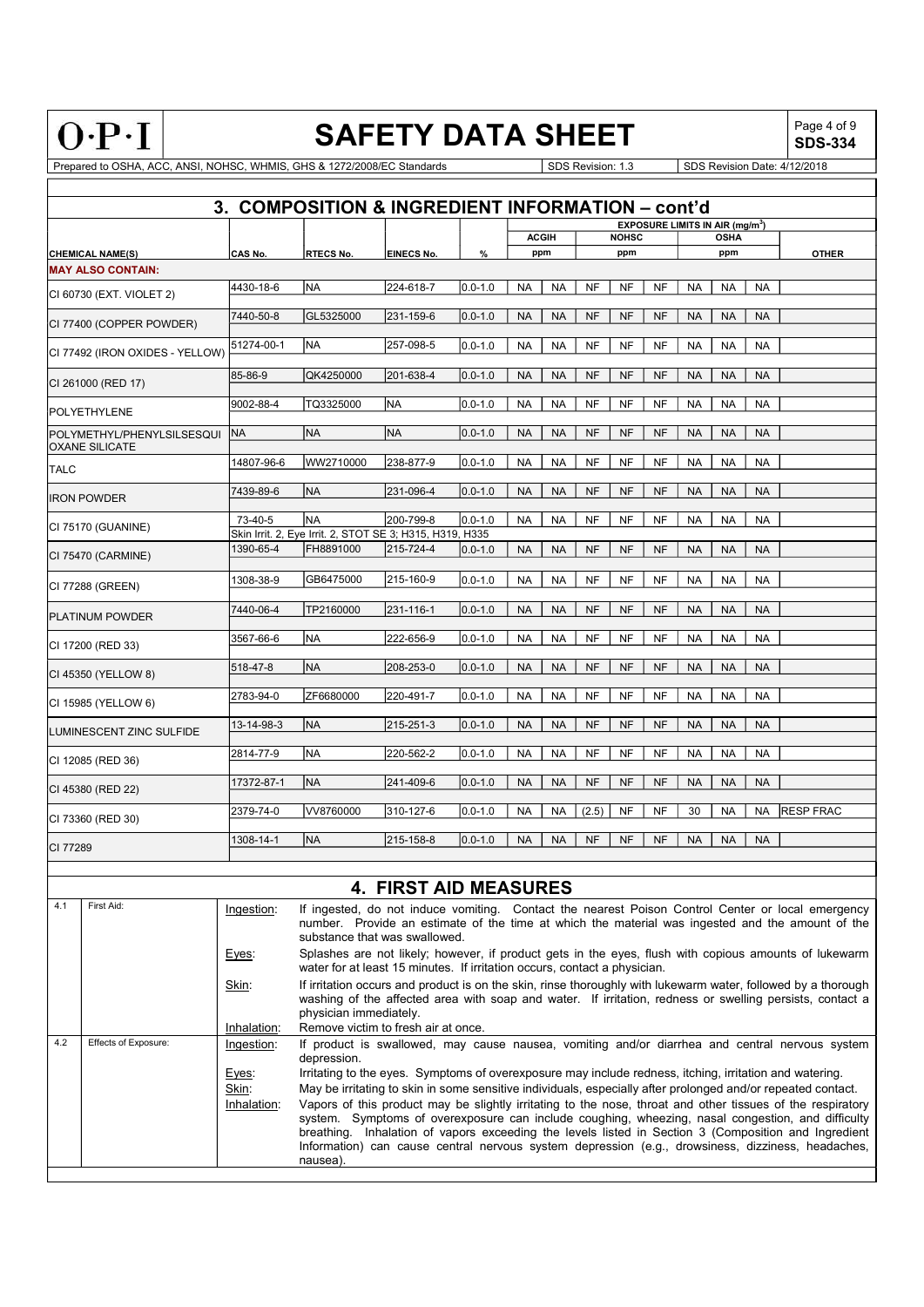| c<br>7 | c | ۷<br>≂ | Ξ |
|--------|---|--------|---|

# SAFETY DATA SHEET  $\left|\begin{array}{cc} \text{Page 4 of 9} \\ \text{SDS-334} \end{array}\right|$

SDS-334

|                                                      |            |                                                                 |                   |                       |           |              |           |              | EXPOSURE LIMITS IN AIR $(mq/m3)$ |           |             |           |                  |
|------------------------------------------------------|------------|-----------------------------------------------------------------|-------------------|-----------------------|-----------|--------------|-----------|--------------|----------------------------------|-----------|-------------|-----------|------------------|
|                                                      |            |                                                                 |                   |                       |           | <b>ACGIH</b> |           | <b>NOHSC</b> |                                  |           | <b>OSHA</b> |           |                  |
| <b>CHEMICAL NAME(S)</b>                              | CAS No.    | <b>RTECS No.</b>                                                | <b>EINECS No.</b> | %                     |           | ppm          |           | ppm          |                                  |           | ppm         |           | <b>OTHER</b>     |
| <b>MAY ALSO CONTAIN:</b>                             |            |                                                                 |                   |                       |           |              |           |              |                                  |           |             |           |                  |
| CI 60730 (EXT. VIOLET 2)                             | 4430-18-6  | <b>NA</b>                                                       | 224-618-7         | $0.0 - 1.0$           | <b>NA</b> | <b>NA</b>    | <b>NF</b> | <b>NF</b>    | <b>NF</b>                        | <b>NA</b> | <b>NA</b>   | <b>NA</b> |                  |
| CI 77400 (COPPER POWDER)                             | 7440-50-8  | GL5325000                                                       | 231-159-6         | $0.0 - 1.0$           | <b>NA</b> | <b>NA</b>    | <b>NF</b> | <b>NF</b>    | <b>NF</b>                        | <b>NA</b> | <b>NA</b>   | <b>NA</b> |                  |
| CI 77492 (IRON OXIDES - YELLOW)                      | 51274-00-1 | İNA                                                             | 257-098-5         | $0.0 - 1.0$           | <b>NA</b> | <b>NA</b>    | <b>NF</b> | <b>NF</b>    | <b>NF</b>                        | <b>NA</b> | <b>NA</b>   | <b>NA</b> |                  |
| CI 261000 (RED 17)                                   | 85-86-9    | QK4250000                                                       | 201-638-4         | $0.0 - 1.0$           | <b>NA</b> | <b>NA</b>    | <b>NF</b> | <b>NF</b>    | <b>NF</b>                        | <b>NA</b> | <b>NA</b>   | <b>NA</b> |                  |
| <b>IPOLYETHYLENE</b>                                 | 9002-88-4  | TQ3325000                                                       | NA)               | $\overline{0.0}$ -1.0 | <b>NA</b> | <b>NA</b>    | <b>NF</b> | <b>NF</b>    | <b>NF</b>                        | <b>NA</b> | <b>NA</b>   | <b>NA</b> |                  |
| <b>POLYMETHYL/PHENYLSILSESQUI</b><br>IOXANE SILICATE | NA         | <b>NA</b>                                                       | <b>NA</b>         | $0.0 - 1.0$           | <b>NA</b> | <b>NA</b>    | <b>NF</b> | <b>NF</b>    | <b>NF</b>                        | <b>NA</b> | <b>NA</b>   | <b>NA</b> |                  |
| <b>TALC</b>                                          | 14807-96-6 | lww2710000                                                      | 238-877-9         | $0.0 - 1.0$           | <b>NA</b> | <b>NA</b>    | <b>NF</b> | <b>NF</b>    | <b>NF</b>                        | <b>NA</b> | <b>NA</b>   | <b>NA</b> |                  |
| <b>IRON POWDER</b>                                   | 7439-89-6  | <b>INA</b>                                                      | 231-096-4         | $0.0 - 1.0$           | <b>NA</b> | <b>NA</b>    | <b>NF</b> | <b>NF</b>    | <b>NF</b>                        | <b>NA</b> | <b>NA</b>   | <b>NA</b> |                  |
| CI 75170 (GUANINE)                                   | 73-40-5    | İNA<br>Skin Irrit. 2, Eye Irrit. 2, STOT SE 3; H315, H319, H335 | 200-799-8         | $0.0 - 1.0$           | <b>NA</b> | <b>NA</b>    | <b>NF</b> | <b>NF</b>    | <b>NF</b>                        | <b>NA</b> | <b>NA</b>   | <b>NA</b> |                  |
| CI 75470 (CARMINE)                                   | 1390-65-4  | FH8891000                                                       | 215-724-4         | $0.0 - 1.0$           | <b>NA</b> | <b>NA</b>    | <b>NF</b> | <b>NF</b>    | <b>NF</b>                        | <b>NA</b> | <b>NA</b>   | <b>NA</b> |                  |
| CI 77288 (GREEN)                                     | 1308-38-9  | GB6475000                                                       | 215-160-9         | $0.0 - 1.0$           | <b>NA</b> | <b>NA</b>    | <b>NF</b> | <b>NF</b>    | <b>NF</b>                        | <b>NA</b> | <b>NA</b>   | <b>NA</b> |                  |
| <b>PLATINUM POWDER</b>                               | 7440-06-4  | TP2160000                                                       | 231-116-1         | $0.0 - 1.0$           | <b>NA</b> | <b>NA</b>    | <b>NF</b> | <b>NF</b>    | <b>NF</b>                        | <b>NA</b> | <b>NA</b>   | <b>NA</b> |                  |
| CI 17200 (RED 33)                                    | 3567-66-6  | INA                                                             | 222-656-9         | $0.0 - 1.0$           | <b>NA</b> | <b>NA</b>    | <b>NF</b> | <b>NF</b>    | <b>NF</b>                        | <b>NA</b> | <b>NA</b>   | <b>NA</b> |                  |
| CI 45350 (YELLOW 8)                                  | 518-47-8   | <b>NA</b>                                                       | 208-253-0         | $0.0 - 1.0$           | <b>NA</b> | <b>NA</b>    | <b>NF</b> | <b>NF</b>    | <b>NF</b>                        | <b>NA</b> | <b>NA</b>   | <b>NA</b> |                  |
| CI 15985 (YELLOW 6)                                  | 2783-94-0  | ZF6680000                                                       | 220-491-7         | $0.0 - 1.0$           | <b>NA</b> | <b>NA</b>    | <b>NF</b> | <b>NF</b>    | <b>NF</b>                        | <b>NA</b> | <b>NA</b>   | <b>NA</b> |                  |
| LUMINESCENT ZINC SULFIDE                             | 13-14-98-3 | <b>INA</b>                                                      | 215-251-3         | $0.0 - 1.0$           | <b>NA</b> | <b>NA</b>    | <b>NF</b> | <b>NF</b>    | <b>NF</b>                        | <b>NA</b> | <b>NA</b>   | <b>NA</b> |                  |
| CI 12085 (RED 36)                                    | 2814-77-9  | INA                                                             | 220-562-2         | $0.0 - 1.0$           | <b>NA</b> | <b>NA</b>    | <b>NF</b> | <b>NF</b>    | <b>NF</b>                        | <b>NA</b> | <b>NA</b>   | <b>NA</b> |                  |
| CI 45380 (RED 22)                                    | 17372-87-1 | <b>NA</b>                                                       | 241-409-6         | $0.0 - 1.0$           | <b>NA</b> | <b>NA</b>    | <b>NF</b> | <b>NF</b>    | <b>NF</b>                        | <b>NA</b> | <b>NA</b>   | <b>NA</b> |                  |
| CI 73360 (RED 30)                                    | 2379-74-0  | VV8760000                                                       | 310-127-6         | $0.0 - 1.0$           | <b>NA</b> | <b>NA</b>    | (2.5)     | <b>NF</b>    | <b>NF</b>                        | 30        | <b>NA</b>   | <b>NA</b> | <b>RESP FRAC</b> |
| CI 77289                                             | 1308-14-1  | <b>NA</b>                                                       | 215-158-8         | $0.0 - 1.0$           | <b>NA</b> | <b>NA</b>    | <b>NF</b> | <b>NF</b>    | <b>NF</b>                        | <b>NA</b> | <b>NA</b>   | <b>NA</b> |                  |

|     |                      |             | <b>4. FIRST AID MEASURES</b>                                                                                                                                                                                                                                                                                                                                                                                                             |
|-----|----------------------|-------------|------------------------------------------------------------------------------------------------------------------------------------------------------------------------------------------------------------------------------------------------------------------------------------------------------------------------------------------------------------------------------------------------------------------------------------------|
| 4.1 | First Aid:           | Ingestion:  | If ingested, do not induce vomiting. Contact the nearest Poison Control Center or local emergency<br>number. Provide an estimate of the time at which the material was ingested and the amount of the<br>substance that was swallowed.                                                                                                                                                                                                   |
|     |                      | Eyes:       | Splashes are not likely; however, if product gets in the eyes, flush with copious amounts of lukewarm<br>water for at least 15 minutes. If irritation occurs, contact a physician.                                                                                                                                                                                                                                                       |
|     |                      | Skin:       | If irritation occurs and product is on the skin, rinse thoroughly with lukewarm water, followed by a thorough<br>washing of the affected area with soap and water. If irritation, redness or swelling persists, contact a<br>physician immediately.                                                                                                                                                                                      |
|     |                      | Inhalation: | Remove victim to fresh air at once.                                                                                                                                                                                                                                                                                                                                                                                                      |
| 4.2 | Effects of Exposure: | Ingestion:  | If product is swallowed, may cause nausea, vomiting and/or diarrhea and central nervous system<br>depression.                                                                                                                                                                                                                                                                                                                            |
|     |                      | Eyes:       | Irritating to the eyes. Symptoms of overexposure may include redness, itching, irritation and watering.                                                                                                                                                                                                                                                                                                                                  |
|     |                      | Skin:       | May be irritating to skin in some sensitive individuals, especially after prolonged and/or repeated contact.                                                                                                                                                                                                                                                                                                                             |
|     |                      | Inhalation: | Vapors of this product may be slightly irritating to the nose, throat and other tissues of the respiratory<br>system. Symptoms of overexposure can include coughing, wheezing, nasal congestion, and difficulty<br>breathing. Inhalation of vapors exceeding the levels listed in Section 3 (Composition and Ingredient<br>Information) can cause central nervous system depression (e.g., drowsiness, dizziness, headaches,<br>nausea). |
|     |                      |             |                                                                                                                                                                                                                                                                                                                                                                                                                                          |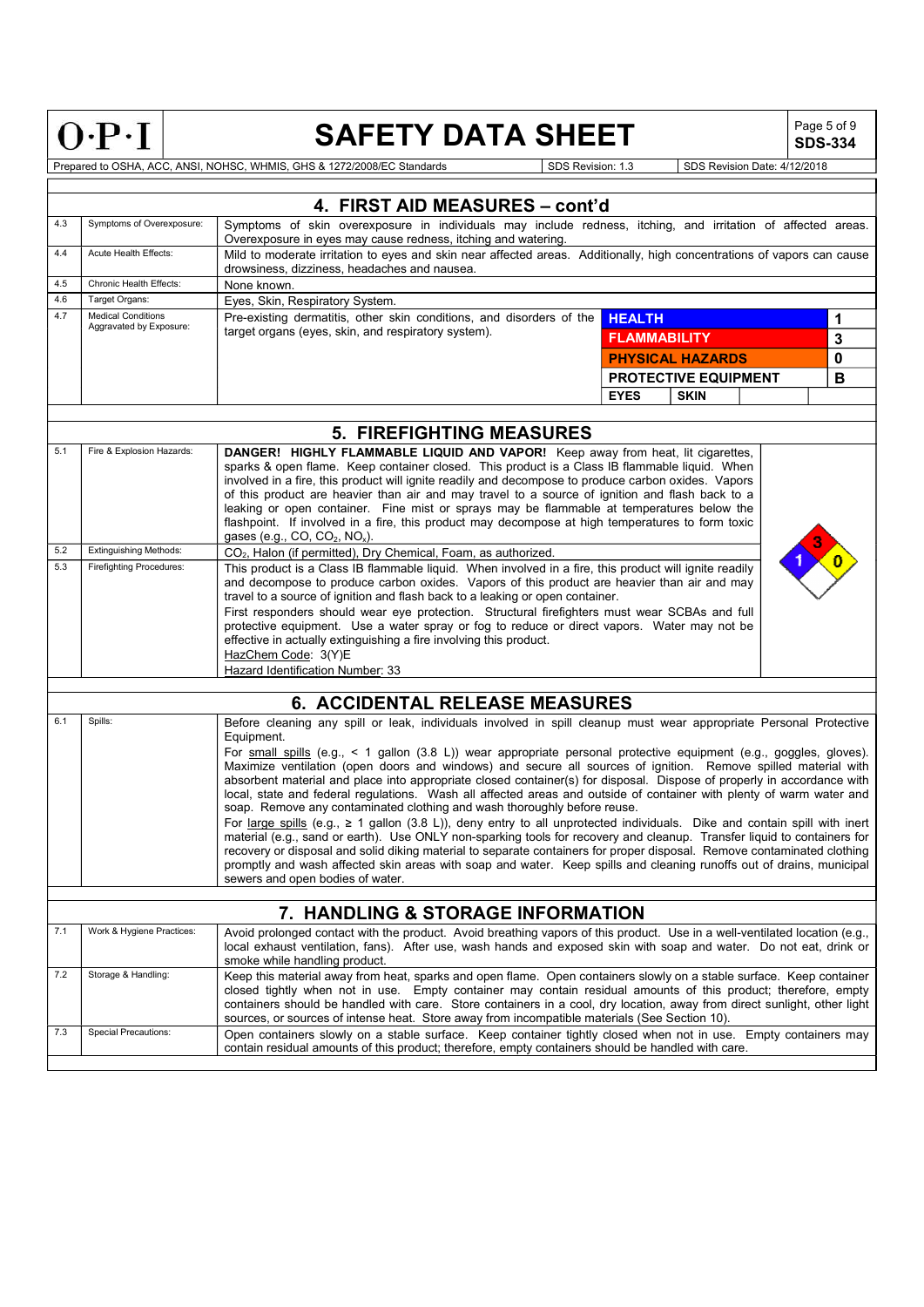| ٠ |  |  |  |
|---|--|--|--|
|   |  |  |  |

## SAFETY DATA SHEET  $\left|\begin{array}{cc} \text{Page 5 of 9} \\ \text{SDS}_2 & \text{S134} \end{array}\right|$

SDS-334

Prepared to OSHA, ACC, ANSI, NOHSC, WHMIS, GHS & 1272/2008/EC Standards Special SDS Revision: 1.3 SDS Revision Date: 4/12/2018

4. FIRST AID MEASURES – cont'd 4.3 Symptoms of Overexposure: Symptoms of skin overexposure in individuals may include redness, itching, and irritation of affected areas. Overexposure in eyes may cause redness, itching and watering. 4.4 Acute Health Effects: Mild to moderate irritation to eyes and skin near affected areas. Additionally, high concentrations of vapors can cause drowsiness, dizziness, headaches and nausea. 4.5 Chronic Health Effects: None known. 4.6 Target Organs: Eyes, Skin, Respiratory System. 4.7 Medical Conditions<br>Aggravated by Exposure: Pre-existing dermatitis, other skin conditions, and disorders of the **HEALTH** target organs (eyes, skin, and respiratory system). HEALTH DESCRIPTION OF THE STATE  $\vert 1 \vert$  and  $\vert 1 \vert$  and  $\vert 1 \vert$  and  $\vert 1 \vert$  and  $\vert 1 \vert$  and  $\vert 1 \vert$  and  $\vert 1 \vert$  and  $\vert 1 \vert$  and  $\vert 1 \vert$  and  $\vert 1 \vert$  and  $\vert 1 \vert$  and  $\vert 1 \vert$  and  $\vert 1 \vert$  and  $\vert 1 \vert$  and  $\vert 1 \vert$ FLAMMABILITY 3 PHYSICAL HAZARDS **0** PROTECTIVE EQUIPMENT B EYES | SKIN 5. FIREFIGHTING MEASURES 5.1 Fire & Explosion Hazards: DANGER! HIGHLY FLAMMABLE LIQUID AND VAPOR! Keep away from heat, lit cigarettes, sparks & open flame. Keep container closed. This product is a Class IB flammable liquid. When involved in a fire, this product will ignite readily and decompose to produce carbon oxides. Vapors of this product are heavier than air and may travel to a source of ignition and flash back to a leaking or open container. Fine mist or sprays may be flammable at temperatures below the flashpoint. If involved in a fire, this product may decompose at high temperatures to form toxic gases (e.g., CO,  $CO<sub>2</sub>$ , NO<sub>x</sub>). 5.2 Extinguishing Methods:  $CO<sub>2</sub>$ , Halon (if permitted), Dry Chemical, Foam, as authorized.<br>5.3 Firefighting Procedures: This product is a Class IB flammable liquid When involved in This product is a Class IB flammable liquid. When involved in a fire, this product will ignite readily and decompose to produce carbon oxides. Vapors of this product are heavier than air and may travel to a source of ignition and flash back to a leaking or open container. First responders should wear eye protection. Structural firefighters must wear SCBAs and full protective equipment. Use a water spray or fog to reduce or direct vapors. Water may not be effective in actually extinguishing a fire involving this product. HazChem Code: 3(Y)E Hazard Identification Number: 33 6. ACCIDENTAL RELEASE MEASURES 6.1 Spills: Before cleaning any spill or leak, individuals involved in spill cleanup must wear appropriate Personal Protective Equipment. For small spills (e.g., < 1 gallon (3.8 L)) wear appropriate personal protective equipment (e.g., goggles, gloves). Maximize ventilation (open doors and windows) and secure all sources of ignition. Remove spilled material with absorbent material and place into appropriate closed container(s) for disposal. Dispose of properly in accordance with local, state and federal regulations. Wash all affected areas and outside of container with plenty of warm water and soap. Remove any contaminated clothing and wash thoroughly before reuse. For large spills (e.g.,  $\geq$  1 gallon (3.8 L)), deny entry to all unprotected individuals. Dike and contain spill with inert material (e.g., sand or earth). Use ONLY non-sparking tools for recovery and cleanup. Transfer liquid to containers for recovery or disposal and solid diking material to separate containers for proper disposal. Remove contaminated clothing promptly and wash affected skin areas with soap and water. Keep spills and cleaning runoffs out of drains, municipal sewers and open bodies of water. 7. HANDLING & STORAGE INFORMATION 7.1 Work & Hygiene Practices: Avoid prolonged contact with the product. Avoid breathing vapors of this product. Use in a well-ventilated location (e.g., local exhaust ventilation, fans). After use, wash hands and exposed skin with soap and water. Do not eat, drink or smoke while handling product. 7.2 Storage & Handling: Keep this material away from heat, sparks and open flame. Open containers slowly on a stable surface. Keep container closed tightly when not in use. Empty container may contain residual amounts of this product; therefore, empty containers should be handled with care. Store containers in a cool, dry location, away from direct sunlight, other light sources, or sources of intense heat. Store away from incompatible materials (See Section 10). 7.3 Special Precautions: Open containers slowly on a stable surface. Keep container tightly closed when not in use. Empty containers may contain residual amounts of this product; therefore, empty containers should be handled with care.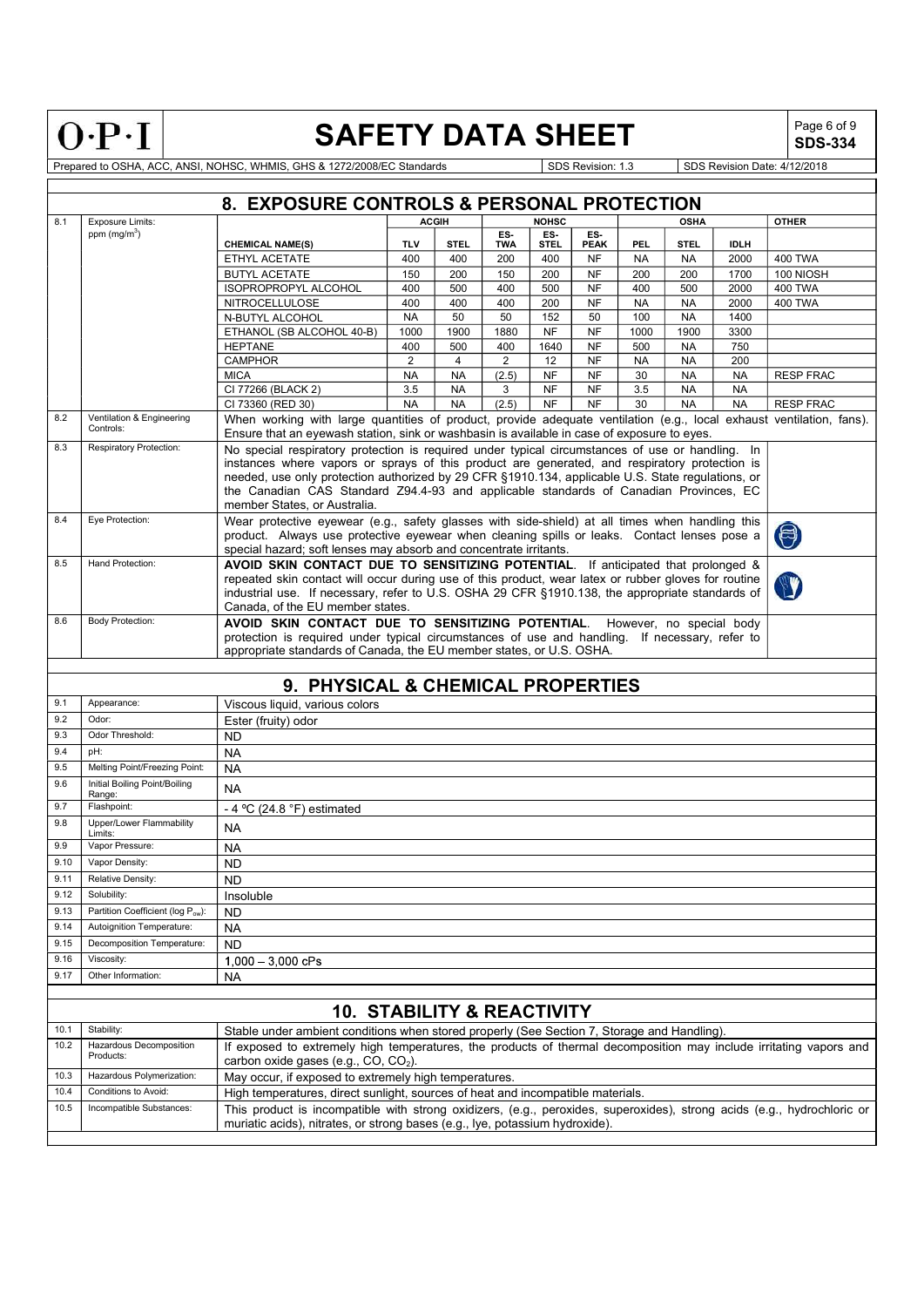$0 \cdot P \cdot I$ 

# SAFETY DATA SHEET  $\left|\begin{array}{cc} \text{Page 6 of 9} \\ \text{SDS-334} \end{array}\right|$

SDS-334

|                                                      |                                  | 8. EXPOSURE CONTROLS & PERSONAL PROTECTION                                                                                                                                                                          |                |                |                   |                    |                    |            |             |             |                  |
|------------------------------------------------------|----------------------------------|---------------------------------------------------------------------------------------------------------------------------------------------------------------------------------------------------------------------|----------------|----------------|-------------------|--------------------|--------------------|------------|-------------|-------------|------------------|
| 8.1                                                  | <b>Exposure Limits:</b>          |                                                                                                                                                                                                                     | <b>ACGIH</b>   |                |                   | <b>NOHSC</b>       |                    |            | <b>OSHA</b> |             | <b>OTHER</b>     |
|                                                      | ppm $(mg/m^3)$                   | <b>CHEMICAL NAME(S)</b>                                                                                                                                                                                             | <b>TLV</b>     | <b>STEL</b>    | ES-<br><b>TWA</b> | ES-<br><b>STEL</b> | ES-<br><b>PEAK</b> | <b>PEL</b> | <b>STEL</b> | <b>IDLH</b> |                  |
|                                                      |                                  | ETHYL ACETATE                                                                                                                                                                                                       | 400            | 400            | 200               | 400                | <b>NF</b>          | <b>NA</b>  | <b>NA</b>   | 2000        | <b>400 TWA</b>   |
|                                                      |                                  | <b>BUTYL ACETATE</b>                                                                                                                                                                                                | 150            | 200            | 150               | 200                | <b>NF</b>          | 200        | 200         | 1700        | 100 NIOSH        |
|                                                      |                                  | ISOPROPROPYL ALCOHOL                                                                                                                                                                                                | 400            | 500            | 400               | 500                | <b>NF</b>          | 400        | 500         | 2000        | <b>400 TWA</b>   |
|                                                      |                                  | <b>NITROCELLULOSE</b>                                                                                                                                                                                               | 400            | 400            | 400               | 200                | <b>NF</b>          | <b>NA</b>  | <b>NA</b>   | 2000        | <b>400 TWA</b>   |
|                                                      |                                  | N-BUTYL ALCOHOL                                                                                                                                                                                                     | <b>NA</b>      | 50             | 50                | 152                | 50                 | 100        | <b>NA</b>   | 1400        |                  |
|                                                      |                                  | ETHANOL (SB ALCOHOL 40-B)                                                                                                                                                                                           | 1000           | 1900           | 1880              | <b>NF</b>          | <b>NF</b>          | 1000       | 1900        | 3300        |                  |
|                                                      |                                  | <b>HEPTANE</b>                                                                                                                                                                                                      | 400            | 500            | 400               | 1640               | <b>NF</b>          | 500        | <b>NA</b>   | 750         |                  |
|                                                      |                                  | <b>CAMPHOR</b>                                                                                                                                                                                                      | $\overline{2}$ | $\overline{4}$ | $\overline{2}$    | 12                 | <b>NF</b>          | <b>NA</b>  | <b>NA</b>   | 200         |                  |
|                                                      |                                  | <b>MICA</b>                                                                                                                                                                                                         | <b>NA</b>      | <b>NA</b>      | (2.5)             | <b>NF</b>          | <b>NF</b>          | 30         | <b>NA</b>   | <b>NA</b>   | <b>RESP FRAC</b> |
|                                                      |                                  | CI 77266 (BLACK 2)                                                                                                                                                                                                  | 3.5            | <b>NA</b>      | 3                 | <b>NF</b>          | <b>NF</b>          | 3.5        | <b>NA</b>   | <b>NA</b>   |                  |
|                                                      | Ventilation & Engineering        | CI 73360 (RED 30)                                                                                                                                                                                                   | <b>NA</b>      | <b>NA</b>      | (2.5)             | <b>NF</b>          | <b>NF</b>          | 30         | <b>NA</b>   | <b>NA</b>   | <b>RESP FRAC</b> |
|                                                      | Controls:                        | When working with large quantities of product, provide adequate ventilation (e.g., local exhaust ventilation, fans).<br>Ensure that an eyewash station, sink or washbasin is available in case of exposure to eyes. |                |                |                   |                    |                    |            |             |             |                  |
|                                                      | <b>Respiratory Protection:</b>   | No special respiratory protection is required under typical circumstances of use or handling.                                                                                                                       |                |                |                   |                    |                    |            |             | In          |                  |
|                                                      |                                  | instances where vapors or sprays of this product are generated, and respiratory protection is                                                                                                                       |                |                |                   |                    |                    |            |             |             |                  |
|                                                      |                                  | needed, use only protection authorized by 29 CFR §1910.134, applicable U.S. State regulations, or                                                                                                                   |                |                |                   |                    |                    |            |             |             |                  |
|                                                      |                                  | the Canadian CAS Standard Z94.4-93 and applicable standards of Canadian Provinces, EC<br>member States, or Australia.                                                                                               |                |                |                   |                    |                    |            |             |             |                  |
|                                                      | Eye Protection:                  | Wear protective eyewear (e.g., safety glasses with side-shield) at all times when handling this                                                                                                                     |                |                |                   |                    |                    |            |             |             |                  |
|                                                      |                                  | product. Always use protective eyewear when cleaning spills or leaks. Contact lenses pose a                                                                                                                         |                |                |                   |                    |                    |            |             |             | $\bigcirc$       |
|                                                      |                                  | special hazard; soft lenses may absorb and concentrate irritants.                                                                                                                                                   |                |                |                   |                    |                    |            |             |             |                  |
|                                                      | Hand Protection:                 | AVOID SKIN CONTACT DUE TO SENSITIZING POTENTIAL. If anticipated that prolonged &                                                                                                                                    |                |                |                   |                    |                    |            |             |             |                  |
|                                                      |                                  | repeated skin contact will occur during use of this product, wear latex or rubber gloves for routine                                                                                                                |                |                |                   |                    |                    |            |             |             |                  |
|                                                      |                                  | industrial use. If necessary, refer to U.S. OSHA 29 CFR §1910.138, the appropriate standards of                                                                                                                     |                |                |                   |                    |                    |            |             |             |                  |
|                                                      |                                  | Canada, of the EU member states.                                                                                                                                                                                    |                |                |                   |                    |                    |            |             |             |                  |
|                                                      | <b>Body Protection:</b>          | AVOID SKIN CONTACT DUE TO SENSITIZING POTENTIAL. However, no special body                                                                                                                                           |                |                |                   |                    |                    |            |             |             |                  |
|                                                      |                                  | protection is required under typical circumstances of use and handling. If necessary, refer to                                                                                                                      |                |                |                   |                    |                    |            |             |             |                  |
|                                                      |                                  |                                                                                                                                                                                                                     |                |                |                   |                    |                    |            |             |             |                  |
|                                                      |                                  | appropriate standards of Canada, the EU member states, or U.S. OSHA.                                                                                                                                                |                |                |                   |                    |                    |            |             |             |                  |
|                                                      |                                  |                                                                                                                                                                                                                     |                |                |                   |                    |                    |            |             |             |                  |
|                                                      |                                  | 9. PHYSICAL & CHEMICAL PROPERTIES                                                                                                                                                                                   |                |                |                   |                    |                    |            |             |             |                  |
|                                                      | Appearance:                      | Viscous liquid, various colors                                                                                                                                                                                      |                |                |                   |                    |                    |            |             |             |                  |
| Odor:                                                |                                  | Ester (fruity) odor                                                                                                                                                                                                 |                |                |                   |                    |                    |            |             |             |                  |
|                                                      | Odor Threshold:                  | <b>ND</b>                                                                                                                                                                                                           |                |                |                   |                    |                    |            |             |             |                  |
| pH:                                                  |                                  | <b>NA</b>                                                                                                                                                                                                           |                |                |                   |                    |                    |            |             |             |                  |
|                                                      | Melting Point/Freezing Point:    | <b>NA</b>                                                                                                                                                                                                           |                |                |                   |                    |                    |            |             |             |                  |
|                                                      | Initial Boiling Point/Boiling    | <b>NA</b>                                                                                                                                                                                                           |                |                |                   |                    |                    |            |             |             |                  |
| Range:                                               | Flashpoint:                      |                                                                                                                                                                                                                     |                |                |                   |                    |                    |            |             |             |                  |
|                                                      | Upper/Lower Flammability         | - 4 °C (24.8 °F) estimated                                                                                                                                                                                          |                |                |                   |                    |                    |            |             |             |                  |
| Limits:                                              |                                  | NA.                                                                                                                                                                                                                 |                |                |                   |                    |                    |            |             |             |                  |
|                                                      | Vapor Pressure:                  | <b>NA</b>                                                                                                                                                                                                           |                |                |                   |                    |                    |            |             |             |                  |
|                                                      | Vapor Density:                   | <b>ND</b>                                                                                                                                                                                                           |                |                |                   |                    |                    |            |             |             |                  |
|                                                      | Relative Density:                | N <sub>D</sub>                                                                                                                                                                                                      |                |                |                   |                    |                    |            |             |             |                  |
| 9.10<br>9.11<br>9.12                                 | Solubility:                      | Insoluble                                                                                                                                                                                                           |                |                |                   |                    |                    |            |             |             |                  |
|                                                      | Partition Coefficient (log Pow): | ND.                                                                                                                                                                                                                 |                |                |                   |                    |                    |            |             |             |                  |
|                                                      | Autoignition Temperature:        | NA                                                                                                                                                                                                                  |                |                |                   |                    |                    |            |             |             |                  |
|                                                      | Decomposition Temperature:       | <b>ND</b>                                                                                                                                                                                                           |                |                |                   |                    |                    |            |             |             |                  |
|                                                      | Viscosity:                       | $1,000 - 3,000$ cPs                                                                                                                                                                                                 |                |                |                   |                    |                    |            |             |             |                  |
|                                                      | Other Information:               |                                                                                                                                                                                                                     |                |                |                   |                    |                    |            |             |             |                  |
|                                                      |                                  | NA                                                                                                                                                                                                                  |                |                |                   |                    |                    |            |             |             |                  |
|                                                      |                                  | <b>10. STABILITY &amp; REACTIVITY</b>                                                                                                                                                                               |                |                |                   |                    |                    |            |             |             |                  |
| Stability:                                           |                                  | Stable under ambient conditions when stored properly (See Section 7, Storage and Handling).                                                                                                                         |                |                |                   |                    |                    |            |             |             |                  |
|                                                      | Hazardous Decomposition          |                                                                                                                                                                                                                     |                |                |                   |                    |                    |            |             |             |                  |
| 9.13<br>9.14<br>9.15<br>9.16<br>9.17<br>10.1<br>10.2 | Products:                        | If exposed to extremely high temperatures, the products of thermal decomposition may include irritating vapors and                                                                                                  |                |                |                   |                    |                    |            |             |             |                  |
|                                                      | Hazardous Polymerization:        | carbon oxide gases (e.g., CO, CO <sub>2</sub> ).                                                                                                                                                                    |                |                |                   |                    |                    |            |             |             |                  |
|                                                      | Conditions to Avoid:             | May occur, if exposed to extremely high temperatures.                                                                                                                                                               |                |                |                   |                    |                    |            |             |             |                  |
|                                                      | Incompatible Substances:         | High temperatures, direct sunlight, sources of heat and incompatible materials.<br>This product is incompatible with strong oxidizers, (e.g., peroxides, superoxides), strong acids (e.g., hydrochloric or          |                |                |                   |                    |                    |            |             |             |                  |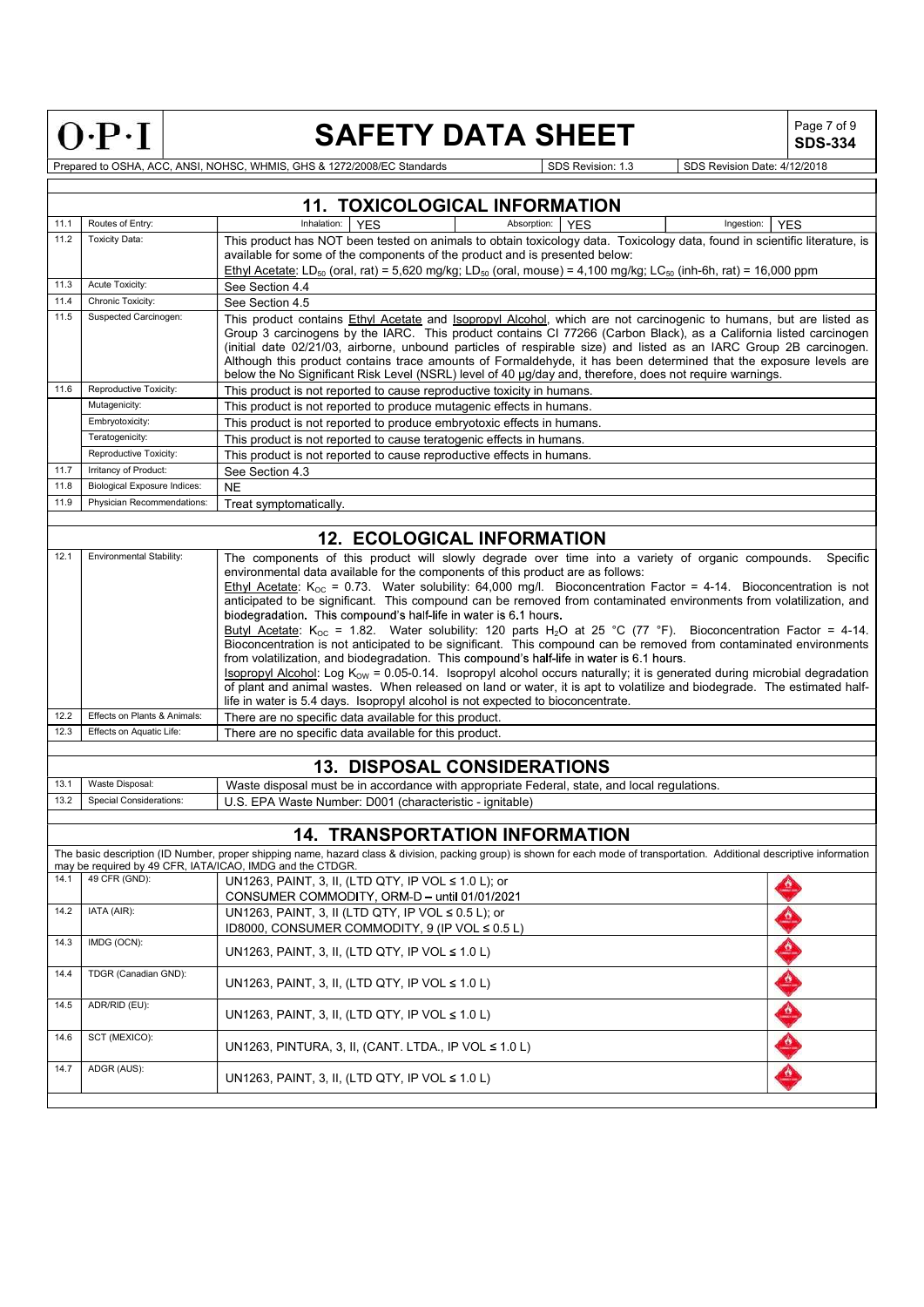| =<br>c | Ξ |
|--------|---|

# SAFETY DATA SHEET  $\left|\begin{array}{cc} \text{Page 7 of 9} \\ \text{SDS-334} \end{array}\right|$

|                                                                                                                                                                                                                                                                                                                                                                                                                                                                                                                                                                                                                                                                                                                                                                                                                                                                                                                                                                                                                                                                                                                                                                                                                                                                              | $O \cdot P \cdot I$                                                                                                                                                                                                                                                                                                                                                                                                                                                                                                                                                                                                                                             | <b>SAFETY DATA SHEET</b>                                                                                                                                                                                                                                                                                                                                          | Page 7 of 9<br><b>SDS-334</b> |  |  |  |
|------------------------------------------------------------------------------------------------------------------------------------------------------------------------------------------------------------------------------------------------------------------------------------------------------------------------------------------------------------------------------------------------------------------------------------------------------------------------------------------------------------------------------------------------------------------------------------------------------------------------------------------------------------------------------------------------------------------------------------------------------------------------------------------------------------------------------------------------------------------------------------------------------------------------------------------------------------------------------------------------------------------------------------------------------------------------------------------------------------------------------------------------------------------------------------------------------------------------------------------------------------------------------|-----------------------------------------------------------------------------------------------------------------------------------------------------------------------------------------------------------------------------------------------------------------------------------------------------------------------------------------------------------------------------------------------------------------------------------------------------------------------------------------------------------------------------------------------------------------------------------------------------------------------------------------------------------------|-------------------------------------------------------------------------------------------------------------------------------------------------------------------------------------------------------------------------------------------------------------------------------------------------------------------------------------------------------------------|-------------------------------|--|--|--|
|                                                                                                                                                                                                                                                                                                                                                                                                                                                                                                                                                                                                                                                                                                                                                                                                                                                                                                                                                                                                                                                                                                                                                                                                                                                                              |                                                                                                                                                                                                                                                                                                                                                                                                                                                                                                                                                                                                                                                                 | Prepared to OSHA, ACC, ANSI, NOHSC, WHMIS, GHS & 1272/2008/EC Standards<br>SDS Revision: 1.3                                                                                                                                                                                                                                                                      | SDS Revision Date: 4/12/2018  |  |  |  |
|                                                                                                                                                                                                                                                                                                                                                                                                                                                                                                                                                                                                                                                                                                                                                                                                                                                                                                                                                                                                                                                                                                                                                                                                                                                                              |                                                                                                                                                                                                                                                                                                                                                                                                                                                                                                                                                                                                                                                                 | <b>11. TOXICOLOGICAL INFORMATION</b>                                                                                                                                                                                                                                                                                                                              |                               |  |  |  |
| 11.1                                                                                                                                                                                                                                                                                                                                                                                                                                                                                                                                                                                                                                                                                                                                                                                                                                                                                                                                                                                                                                                                                                                                                                                                                                                                         | Routes of Entry:                                                                                                                                                                                                                                                                                                                                                                                                                                                                                                                                                                                                                                                | <b>YES</b><br>Absorption:<br><b>YES</b><br>Inhalation:                                                                                                                                                                                                                                                                                                            | <b>YES</b><br>Ingestion:      |  |  |  |
| 11.2                                                                                                                                                                                                                                                                                                                                                                                                                                                                                                                                                                                                                                                                                                                                                                                                                                                                                                                                                                                                                                                                                                                                                                                                                                                                         | <b>Toxicity Data:</b>                                                                                                                                                                                                                                                                                                                                                                                                                                                                                                                                                                                                                                           | This product has NOT been tested on animals to obtain toxicology data. Toxicology data, found in scientific literature, is<br>available for some of the components of the product and is presented below:<br>Ethyl Acetate: LD <sub>50</sub> (oral, rat) = 5,620 mg/kg; LD <sub>50</sub> (oral, mouse) = 4,100 mg/kg; LC <sub>50</sub> (inh-6h, rat) = 16,000 ppm |                               |  |  |  |
| 11.3<br>11.4                                                                                                                                                                                                                                                                                                                                                                                                                                                                                                                                                                                                                                                                                                                                                                                                                                                                                                                                                                                                                                                                                                                                                                                                                                                                 | Acute Toxicity:                                                                                                                                                                                                                                                                                                                                                                                                                                                                                                                                                                                                                                                 | See Section 4.4                                                                                                                                                                                                                                                                                                                                                   |                               |  |  |  |
| 11.5                                                                                                                                                                                                                                                                                                                                                                                                                                                                                                                                                                                                                                                                                                                                                                                                                                                                                                                                                                                                                                                                                                                                                                                                                                                                         | Chronic Toxicity:<br>See Section 4.5<br>Suspected Carcinogen:<br>This product contains Ethyl Acetate and Isopropyl Alcohol, which are not carcinogenic to humans, but are listed as<br>Group 3 carcinogens by the IARC. This product contains CI 77266 (Carbon Black), as a California listed carcinogen<br>(initial date 02/21/03, airborne, unbound particles of respirable size) and listed as an IARC Group 2B carcinogen.<br>Although this product contains trace amounts of Formaldehyde, it has been determined that the exposure levels are<br>below the No Significant Risk Level (NSRL) level of 40 µg/day and, therefore, does not require warnings. |                                                                                                                                                                                                                                                                                                                                                                   |                               |  |  |  |
| 11.6                                                                                                                                                                                                                                                                                                                                                                                                                                                                                                                                                                                                                                                                                                                                                                                                                                                                                                                                                                                                                                                                                                                                                                                                                                                                         | Reproductive Toxicity:                                                                                                                                                                                                                                                                                                                                                                                                                                                                                                                                                                                                                                          | This product is not reported to cause reproductive toxicity in humans.                                                                                                                                                                                                                                                                                            |                               |  |  |  |
|                                                                                                                                                                                                                                                                                                                                                                                                                                                                                                                                                                                                                                                                                                                                                                                                                                                                                                                                                                                                                                                                                                                                                                                                                                                                              | Mutagenicity:<br>Embryotoxicity:                                                                                                                                                                                                                                                                                                                                                                                                                                                                                                                                                                                                                                | This product is not reported to produce mutagenic effects in humans.<br>This product is not reported to produce embryotoxic effects in humans.                                                                                                                                                                                                                    |                               |  |  |  |
|                                                                                                                                                                                                                                                                                                                                                                                                                                                                                                                                                                                                                                                                                                                                                                                                                                                                                                                                                                                                                                                                                                                                                                                                                                                                              | Teratogenicity:                                                                                                                                                                                                                                                                                                                                                                                                                                                                                                                                                                                                                                                 | This product is not reported to cause teratogenic effects in humans.                                                                                                                                                                                                                                                                                              |                               |  |  |  |
|                                                                                                                                                                                                                                                                                                                                                                                                                                                                                                                                                                                                                                                                                                                                                                                                                                                                                                                                                                                                                                                                                                                                                                                                                                                                              | Reproductive Toxicity:                                                                                                                                                                                                                                                                                                                                                                                                                                                                                                                                                                                                                                          | This product is not reported to cause reproductive effects in humans.                                                                                                                                                                                                                                                                                             |                               |  |  |  |
| 11.7                                                                                                                                                                                                                                                                                                                                                                                                                                                                                                                                                                                                                                                                                                                                                                                                                                                                                                                                                                                                                                                                                                                                                                                                                                                                         | Irritancy of Product:                                                                                                                                                                                                                                                                                                                                                                                                                                                                                                                                                                                                                                           | See Section 4.3                                                                                                                                                                                                                                                                                                                                                   |                               |  |  |  |
| 11.8<br>11.9                                                                                                                                                                                                                                                                                                                                                                                                                                                                                                                                                                                                                                                                                                                                                                                                                                                                                                                                                                                                                                                                                                                                                                                                                                                                 | <b>Biological Exposure Indices:</b><br>Physician Recommendations:                                                                                                                                                                                                                                                                                                                                                                                                                                                                                                                                                                                               | <b>NE</b><br>Treat symptomatically.                                                                                                                                                                                                                                                                                                                               |                               |  |  |  |
|                                                                                                                                                                                                                                                                                                                                                                                                                                                                                                                                                                                                                                                                                                                                                                                                                                                                                                                                                                                                                                                                                                                                                                                                                                                                              |                                                                                                                                                                                                                                                                                                                                                                                                                                                                                                                                                                                                                                                                 |                                                                                                                                                                                                                                                                                                                                                                   |                               |  |  |  |
|                                                                                                                                                                                                                                                                                                                                                                                                                                                                                                                                                                                                                                                                                                                                                                                                                                                                                                                                                                                                                                                                                                                                                                                                                                                                              |                                                                                                                                                                                                                                                                                                                                                                                                                                                                                                                                                                                                                                                                 | <b>12. ECOLOGICAL INFORMATION</b>                                                                                                                                                                                                                                                                                                                                 |                               |  |  |  |
| 12.1<br>Environmental Stability:<br>The components of this product will slowly degrade over time into a variety of organic compounds.<br>Specific<br>environmental data available for the components of this product are as follows:<br>Ethyl Acetate: K <sub>oc</sub> = 0.73. Water solubility: 64,000 mg/l. Bioconcentration Factor = 4-14. Bioconcentration is not<br>anticipated to be significant. This compound can be removed from contaminated environments from volatilization, and<br>biodegradation. This compound's half-life in water is 6.1 hours.<br>Butyl Acetate: $K_{OC}$ = 1.82. Water solubility: 120 parts H <sub>2</sub> O at 25 °C (77 °F). Bioconcentration Factor = 4-14.<br>Bioconcentration is not anticipated to be significant. This compound can be removed from contaminated environments<br>from volatilization, and biodegradation. This compound's half-life in water is 6.1 hours.<br><b>Isopropyl Alcohol:</b> Log $K_{ow} = 0.05-0.14$ . Isopropyl alcohol occurs naturally; it is generated during microbial degradation<br>of plant and animal wastes. When released on land or water, it is apt to volatilize and biodegrade. The estimated half-<br>life in water is 5.4 days. Isopropyl alcohol is not expected to bioconcentrate. |                                                                                                                                                                                                                                                                                                                                                                                                                                                                                                                                                                                                                                                                 |                                                                                                                                                                                                                                                                                                                                                                   |                               |  |  |  |
| 12.2<br>12.3                                                                                                                                                                                                                                                                                                                                                                                                                                                                                                                                                                                                                                                                                                                                                                                                                                                                                                                                                                                                                                                                                                                                                                                                                                                                 | Effects on Plants & Animals:<br>Effects on Aquatic Life:                                                                                                                                                                                                                                                                                                                                                                                                                                                                                                                                                                                                        | There are no specific data available for this product.<br>There are no specific data available for this product.                                                                                                                                                                                                                                                  |                               |  |  |  |
|                                                                                                                                                                                                                                                                                                                                                                                                                                                                                                                                                                                                                                                                                                                                                                                                                                                                                                                                                                                                                                                                                                                                                                                                                                                                              |                                                                                                                                                                                                                                                                                                                                                                                                                                                                                                                                                                                                                                                                 |                                                                                                                                                                                                                                                                                                                                                                   |                               |  |  |  |
|                                                                                                                                                                                                                                                                                                                                                                                                                                                                                                                                                                                                                                                                                                                                                                                                                                                                                                                                                                                                                                                                                                                                                                                                                                                                              |                                                                                                                                                                                                                                                                                                                                                                                                                                                                                                                                                                                                                                                                 | <b>13. DISPOSAL CONSIDERATIONS</b>                                                                                                                                                                                                                                                                                                                                |                               |  |  |  |
| 13.1<br>13.2                                                                                                                                                                                                                                                                                                                                                                                                                                                                                                                                                                                                                                                                                                                                                                                                                                                                                                                                                                                                                                                                                                                                                                                                                                                                 | Waste Disposal:<br>Special Considerations:                                                                                                                                                                                                                                                                                                                                                                                                                                                                                                                                                                                                                      | Waste disposal must be in accordance with appropriate Federal, state, and local regulations.<br>U.S. EPA Waste Number: D001 (characteristic - ignitable)                                                                                                                                                                                                          |                               |  |  |  |
|                                                                                                                                                                                                                                                                                                                                                                                                                                                                                                                                                                                                                                                                                                                                                                                                                                                                                                                                                                                                                                                                                                                                                                                                                                                                              |                                                                                                                                                                                                                                                                                                                                                                                                                                                                                                                                                                                                                                                                 | <b>14. TRANSPORTATION INFORMATION</b>                                                                                                                                                                                                                                                                                                                             |                               |  |  |  |
|                                                                                                                                                                                                                                                                                                                                                                                                                                                                                                                                                                                                                                                                                                                                                                                                                                                                                                                                                                                                                                                                                                                                                                                                                                                                              |                                                                                                                                                                                                                                                                                                                                                                                                                                                                                                                                                                                                                                                                 | The basic description (ID Number, proper shipping name, hazard class & division, packing group) is shown for each mode of transportation. Additional descriptive information<br>may be required by 49 CFR, IATA/ICAO, IMDG and the CTDGR.                                                                                                                         |                               |  |  |  |
| 14.1                                                                                                                                                                                                                                                                                                                                                                                                                                                                                                                                                                                                                                                                                                                                                                                                                                                                                                                                                                                                                                                                                                                                                                                                                                                                         | 49 CFR (GND):                                                                                                                                                                                                                                                                                                                                                                                                                                                                                                                                                                                                                                                   | UN1263, PAINT, 3, II, (LTD QTY, IP VOL ≤ 1.0 L); or<br>CONSUMER COMMODITY, ORM-D - until 01/01/2021                                                                                                                                                                                                                                                               |                               |  |  |  |
| 14.2                                                                                                                                                                                                                                                                                                                                                                                                                                                                                                                                                                                                                                                                                                                                                                                                                                                                                                                                                                                                                                                                                                                                                                                                                                                                         | IATA (AIR):                                                                                                                                                                                                                                                                                                                                                                                                                                                                                                                                                                                                                                                     | UN1263, PAINT, 3, II (LTD QTY, IP VOL ≤ 0.5 L); or<br>ID8000, CONSUMER COMMODITY, 9 (IP VOL ≤ 0.5 L)                                                                                                                                                                                                                                                              |                               |  |  |  |
| 14.3                                                                                                                                                                                                                                                                                                                                                                                                                                                                                                                                                                                                                                                                                                                                                                                                                                                                                                                                                                                                                                                                                                                                                                                                                                                                         | IMDG (OCN):                                                                                                                                                                                                                                                                                                                                                                                                                                                                                                                                                                                                                                                     | UN1263, PAINT, 3, II, (LTD QTY, IP VOL $\leq 1.0$ L)                                                                                                                                                                                                                                                                                                              |                               |  |  |  |
| 14.4                                                                                                                                                                                                                                                                                                                                                                                                                                                                                                                                                                                                                                                                                                                                                                                                                                                                                                                                                                                                                                                                                                                                                                                                                                                                         | TDGR (Canadian GND):                                                                                                                                                                                                                                                                                                                                                                                                                                                                                                                                                                                                                                            | UN1263, PAINT, 3, II, (LTD QTY, IP VOL $\leq 1.0$ L)                                                                                                                                                                                                                                                                                                              |                               |  |  |  |
| 14.5                                                                                                                                                                                                                                                                                                                                                                                                                                                                                                                                                                                                                                                                                                                                                                                                                                                                                                                                                                                                                                                                                                                                                                                                                                                                         | ADR/RID (EU):                                                                                                                                                                                                                                                                                                                                                                                                                                                                                                                                                                                                                                                   | UN1263, PAINT, 3, II, (LTD QTY, IP VOL $\leq 1.0$ L)                                                                                                                                                                                                                                                                                                              |                               |  |  |  |
| 14.6                                                                                                                                                                                                                                                                                                                                                                                                                                                                                                                                                                                                                                                                                                                                                                                                                                                                                                                                                                                                                                                                                                                                                                                                                                                                         | SCT (MEXICO):                                                                                                                                                                                                                                                                                                                                                                                                                                                                                                                                                                                                                                                   | UN1263, PINTURA, 3, II, (CANT. LTDA., IP VOL $\leq 1.0$ L)                                                                                                                                                                                                                                                                                                        |                               |  |  |  |
| 14.7                                                                                                                                                                                                                                                                                                                                                                                                                                                                                                                                                                                                                                                                                                                                                                                                                                                                                                                                                                                                                                                                                                                                                                                                                                                                         | ADGR (AUS):                                                                                                                                                                                                                                                                                                                                                                                                                                                                                                                                                                                                                                                     | UN1263, PAINT, 3, II, (LTD QTY, IP VOL $\leq 1.0$ L)                                                                                                                                                                                                                                                                                                              |                               |  |  |  |
|                                                                                                                                                                                                                                                                                                                                                                                                                                                                                                                                                                                                                                                                                                                                                                                                                                                                                                                                                                                                                                                                                                                                                                                                                                                                              |                                                                                                                                                                                                                                                                                                                                                                                                                                                                                                                                                                                                                                                                 |                                                                                                                                                                                                                                                                                                                                                                   |                               |  |  |  |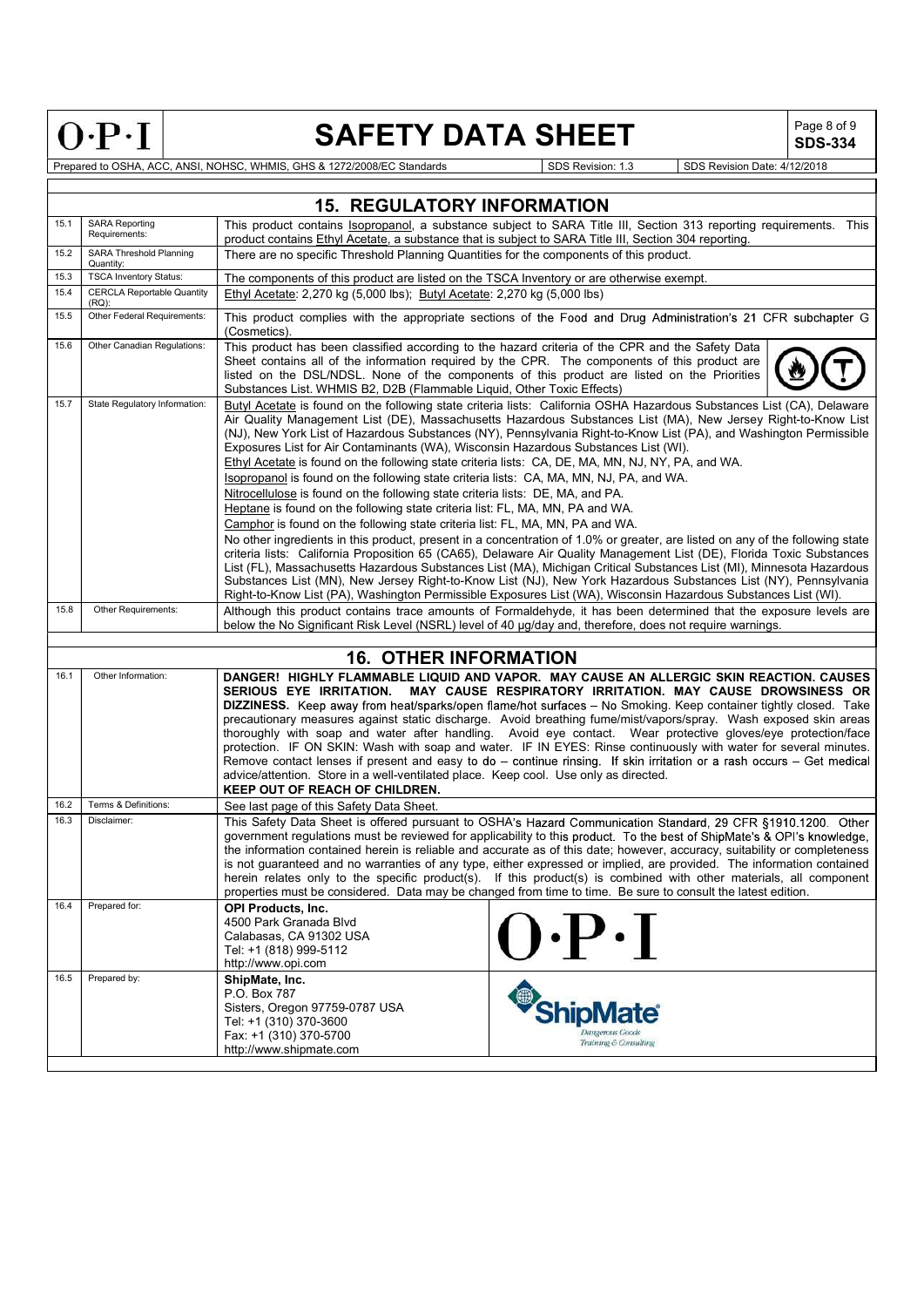| ×<br>$\overline{a}$<br>۰<br>- | ≂<br>÷<br>۷<br>٠<br>c | Ξ<br>с |
|-------------------------------|-----------------------|--------|

## SAFETY DATA SHEET  $\left|\begin{array}{cc} \text{Page 8 of 9} \\ \text{SDS-334} \end{array}\right|$

SDS-334

| <b>15. REGULATORY INFORMATION</b> |                                               |                                                                                                                                                                                                                                                                                                                                                                                                                                                                                                                                                                                                                                                                                                                                                                                                                                                                                                                                                                                                                                                                                                                                                                                                                                                                                                                                                                                                               |  |  |  |  |
|-----------------------------------|-----------------------------------------------|---------------------------------------------------------------------------------------------------------------------------------------------------------------------------------------------------------------------------------------------------------------------------------------------------------------------------------------------------------------------------------------------------------------------------------------------------------------------------------------------------------------------------------------------------------------------------------------------------------------------------------------------------------------------------------------------------------------------------------------------------------------------------------------------------------------------------------------------------------------------------------------------------------------------------------------------------------------------------------------------------------------------------------------------------------------------------------------------------------------------------------------------------------------------------------------------------------------------------------------------------------------------------------------------------------------------------------------------------------------------------------------------------------------|--|--|--|--|
| 15.1                              | <b>SARA Reporting</b><br>Requirements:        | This product contains Isopropanol, a substance subject to SARA Title III, Section 313 reporting requirements. This<br>product contains Ethyl Acetate, a substance that is subject to SARA Title III, Section 304 reporting.                                                                                                                                                                                                                                                                                                                                                                                                                                                                                                                                                                                                                                                                                                                                                                                                                                                                                                                                                                                                                                                                                                                                                                                   |  |  |  |  |
| 15.2                              | SARA Threshold Planning<br>Quantity:          | There are no specific Threshold Planning Quantities for the components of this product.                                                                                                                                                                                                                                                                                                                                                                                                                                                                                                                                                                                                                                                                                                                                                                                                                                                                                                                                                                                                                                                                                                                                                                                                                                                                                                                       |  |  |  |  |
| 15.3                              | <b>TSCA Inventory Status:</b>                 | The components of this product are listed on the TSCA Inventory or are otherwise exempt.                                                                                                                                                                                                                                                                                                                                                                                                                                                                                                                                                                                                                                                                                                                                                                                                                                                                                                                                                                                                                                                                                                                                                                                                                                                                                                                      |  |  |  |  |
| 15.4                              | <b>CERCLA Reportable Quantity</b><br>$(RQ)$ : | Ethyl Acetate: 2,270 kg (5,000 lbs); Butyl Acetate: 2,270 kg (5,000 lbs)                                                                                                                                                                                                                                                                                                                                                                                                                                                                                                                                                                                                                                                                                                                                                                                                                                                                                                                                                                                                                                                                                                                                                                                                                                                                                                                                      |  |  |  |  |
| 15.5                              | Other Federal Requirements:                   | This product complies with the appropriate sections of the Food and Drug Administration's 21 CFR subchapter G<br>(Cosmetics).                                                                                                                                                                                                                                                                                                                                                                                                                                                                                                                                                                                                                                                                                                                                                                                                                                                                                                                                                                                                                                                                                                                                                                                                                                                                                 |  |  |  |  |
| 15.6                              | Other Canadian Regulations:                   | This product has been classified according to the hazard criteria of the CPR and the Safety Data<br>Sheet contains all of the information required by the CPR. The components of this product are<br>listed on the DSL/NDSL. None of the components of this product are listed on the Priorities<br>Substances List. WHMIS B2, D2B (Flammable Liquid, Other Toxic Effects)                                                                                                                                                                                                                                                                                                                                                                                                                                                                                                                                                                                                                                                                                                                                                                                                                                                                                                                                                                                                                                    |  |  |  |  |
| 15.7                              | State Regulatory Information:                 | Butyl Acetate is found on the following state criteria lists: California OSHA Hazardous Substances List (CA), Delaware<br>Air Quality Management List (DE), Massachusetts Hazardous Substances List (MA), New Jersey Right-to-Know List<br>(NJ), New York List of Hazardous Substances (NY), Pennsylvania Right-to-Know List (PA), and Washington Permissible<br>Exposures List for Air Contaminants (WA), Wisconsin Hazardous Substances List (WI).<br>Ethyl Acetate is found on the following state criteria lists: CA, DE, MA, MN, NJ, NY, PA, and WA.<br>Isopropanol is found on the following state criteria lists: CA, MA, MN, NJ, PA, and WA.<br>Nitrocellulose is found on the following state criteria lists: DE, MA, and PA.<br>Heptane is found on the following state criteria list: FL, MA, MN, PA and WA.<br>Camphor is found on the following state criteria list: FL, MA, MN, PA and WA.<br>No other ingredients in this product, present in a concentration of 1.0% or greater, are listed on any of the following state<br>criteria lists: California Proposition 65 (CA65), Delaware Air Quality Management List (DE), Florida Toxic Substances<br>List (FL), Massachusetts Hazardous Substances List (MA), Michigan Critical Substances List (MI), Minnesota Hazardous<br>Substances List (MN), New Jersey Right-to-Know List (NJ), New York Hazardous Substances List (NY), Pennsylvania |  |  |  |  |
|                                   |                                               | Right-to-Know List (PA), Washington Permissible Exposures List (WA), Wisconsin Hazardous Substances List (WI).                                                                                                                                                                                                                                                                                                                                                                                                                                                                                                                                                                                                                                                                                                                                                                                                                                                                                                                                                                                                                                                                                                                                                                                                                                                                                                |  |  |  |  |
| 15.8                              | Other Requirements:                           | Although this product contains trace amounts of Formaldehyde, it has been determined that the exposure levels are<br>below the No Significant Risk Level (NSRL) level of 40 µq/day and, therefore, does not require warnings.                                                                                                                                                                                                                                                                                                                                                                                                                                                                                                                                                                                                                                                                                                                                                                                                                                                                                                                                                                                                                                                                                                                                                                                 |  |  |  |  |
|                                   |                                               |                                                                                                                                                                                                                                                                                                                                                                                                                                                                                                                                                                                                                                                                                                                                                                                                                                                                                                                                                                                                                                                                                                                                                                                                                                                                                                                                                                                                               |  |  |  |  |
|                                   |                                               | <b>16. OTHER INFORMATION</b>                                                                                                                                                                                                                                                                                                                                                                                                                                                                                                                                                                                                                                                                                                                                                                                                                                                                                                                                                                                                                                                                                                                                                                                                                                                                                                                                                                                  |  |  |  |  |
| 16.1                              | Other Information:                            | DANGER! HIGHLY FLAMMABLE LIQUID AND VAPOR. MAY CAUSE AN ALLERGIC SKIN REACTION. CAUSES<br>SERIOUS EYE IRRITATION. MAY CAUSE RESPIRATORY IRRITATION. MAY CAUSE DROWSINESS OR<br>DIZZINESS. Keep away from heat/sparks/open flame/hot surfaces - No Smoking. Keep container tightly closed. Take<br>precautionary measures against static discharge. Avoid breathing fume/mist/vapors/spray. Wash exposed skin areas<br>thoroughly with soap and water after handling. Avoid eye contact. Wear protective gloves/eye protection/face<br>protection. IF ON SKIN: Wash with soap and water. IF IN EYES: Rinse continuously with water for several minutes.<br>Remove contact lenses if present and easy to do $-$ continue rinsing. If skin irritation or a rash occurs $-$ Get medical<br>advice/attention. Store in a well-ventilated place. Keep cool. Use only as directed.<br><b>KEEP OUT OF REACH OF CHILDREN.</b>                                                                                                                                                                                                                                                                                                                                                                                                                                                                                          |  |  |  |  |
| 16.2                              | Terms & Definitions:                          | See last page of this Safety Data Sheet.                                                                                                                                                                                                                                                                                                                                                                                                                                                                                                                                                                                                                                                                                                                                                                                                                                                                                                                                                                                                                                                                                                                                                                                                                                                                                                                                                                      |  |  |  |  |
| 16.3                              | Disclaimer:                                   | This Safety Data Sheet is offered pursuant to OSHA's Hazard Communication Standard, 29 CFR §1910.1200. Other<br>government regulations must be reviewed for applicability to this product. To the best of ShipMate's & OPI's knowledge,<br>the information contained herein is reliable and accurate as of this date; however, accuracy, suitability or completeness<br>is not guaranteed and no warranties of any type, either expressed or implied, are provided. The information contained<br>herein relates only to the specific product(s). If this product(s) is combined with other materials, all component<br>properties must be considered. Data may be changed from time to time. Be sure to consult the latest edition.                                                                                                                                                                                                                                                                                                                                                                                                                                                                                                                                                                                                                                                                           |  |  |  |  |
| 16.4                              | Prepared for:                                 | <b>OPI Products, Inc.</b><br>4500 Park Granada Blvd<br>$0 \cdot P \cdot I$<br>Calabasas, CA 91302 USA<br>Tel: +1 (818) 999-5112<br>http://www.opi.com                                                                                                                                                                                                                                                                                                                                                                                                                                                                                                                                                                                                                                                                                                                                                                                                                                                                                                                                                                                                                                                                                                                                                                                                                                                         |  |  |  |  |
| 16.5                              | Prepared by:                                  | ShipMate, Inc.<br>P.O. Box 787<br>Sisters, Oregon 97759-0787 USA<br><b>ShipMate</b><br>Tel: +1 (310) 370-3600<br>Dangerous Goods<br>Fax: +1 (310) 370-5700<br>Training & Consulting<br>http://www.shipmate.com                                                                                                                                                                                                                                                                                                                                                                                                                                                                                                                                                                                                                                                                                                                                                                                                                                                                                                                                                                                                                                                                                                                                                                                                |  |  |  |  |